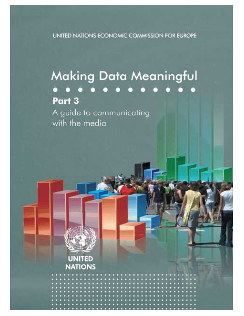UNITED NATIONS ECONOMIC COMMISSION FOR EUROPE

# **Making Data Meaningful**  $\begin{array}{ccccccccccccccccc} \bullet & \bullet & \bullet & \bullet & \bullet & \bullet & \bullet & \bullet \end{array}$

Part 3

A guide to communicating with the media

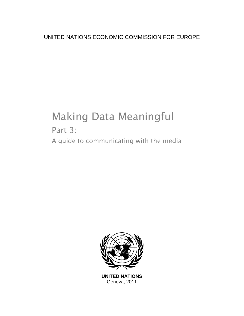UNITED NATIONS ECONOMIC COMMISSION FOR EUROPE

## Making Data Meaningful Part 3: A guide to communicating with the media

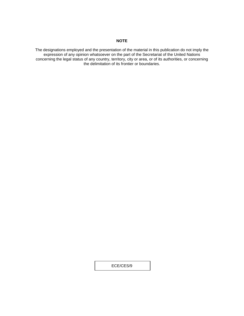## **NOTE**

The designations employed and the presentation of the material in this publication do not imply the expression of any opinion whatsoever on the part of the Secretariat of the United Nations concerning the legal status of any country, territory, city or area, or of its authorities, or concerning the delimitation of its frontier or boundaries.

ECE/CES/9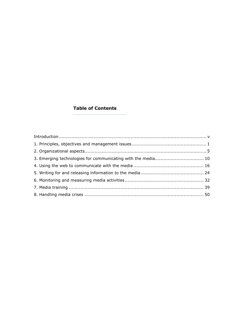## Table of Contents

………………………………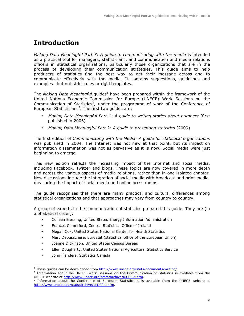## Introduction

Making Data Meaningful Part 3: A guide to communicating with the media is intended as a practical tool for managers, statisticians, and communication and media relations officers in statistical organizations, particularly those organizations that are in the process of developing their communication strategies. This guide aims to help producers of statistics find the best way to get their message across and to communicate effectively with the media. It contains suggestions, guidelines and examples—but not strict rules or rigid templates.

The *Making Data Meaningful* guides<sup>1</sup> have been prepared within the framework of the United Nations Economic Commission for Europe (UNECE) Work Sessions on the Communication of Statistics<sup>2</sup>, under the programme of work of the Conference of European Statisticians<sup>3</sup>. The first two guides are:

- Making Data Meaningful Part 1: A guide to writing stories about numbers (first published in 2006)
- Making Data Meaningful Part 2: A guide to presenting statistics (2009)

The first edition of Communicating with the Media: A guide for statistical organizations was published in 2004. The Internet was not new at that point, but its impact on information dissemination was not as pervasive as it is now. Social media were just beginning to emerge.

This new edition reflects the increasing impact of the Internet and social media, including Facebook, Twitter and blogs. These topics are now covered in more depth and across the various aspects of media relations, rather than in one isolated chapter. New discussions include the integration of social media with broadcast and print media, measuring the impact of social media and online press rooms.

The guide recognizes that there are many practical and cultural differences among statistical organizations and that approaches may vary from country to country.

A group of experts in the communication of statistics prepared this guide. They are (in alphabetical order):

- Colleen Blessing, United States Energy Information Administration
- Frances Comerford, Central Statistical Office of Ireland
- Megan Cox, United States National Center for Health Statistics
- Marc Debusschere, Eurostat (statistical office of the European Union)
- Joanne Dickinson, United States Census Bureau
- Ellen Dougherty, United States National Agricultural Statistics Service
- John Flanders, Statistics Canada

 $\overline{a}$ 

<sup>&</sup>lt;sup>1</sup> These guides can be downloaded from http://www.unece.org/stats/documents/writing/

<sup>&</sup>lt;sup>2</sup> Information about the UNECE Work Sessions on the Communication of Statistics is available from the UNECE website at http://www.unece.org/stats/archive/04.05.e.htm.

<sup>3</sup> Information about the Conference of European Statisticians is available from the UNECE website at http://www.unece.org/stats/archive/act.00.e.htm.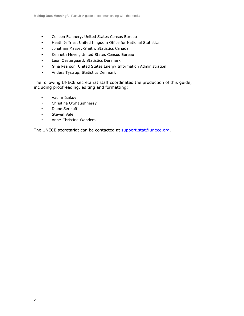- Colleen Flannery, United States Census Bureau
- Heath Jeffries, United Kingdom Office for National Statistics
- Jonathan Massey-Smith, Statistics Canada
- Kenneth Meyer, United States Census Bureau
- Leon Oestergaard, Statistics Denmark
- Gina Pearson, United States Energy Information Administration
- Anders Tystrup, Statistics Denmark

The following UNECE secretariat staff coordinated the production of this guide, including proofreading, editing and formatting:

- Vadim Isakov
- Christina O'Shaughnessy
- Diane Serikoff
- Steven Vale
- Anne-Christine Wanders

The UNECE secretariat can be contacted at support.stat@unece.org.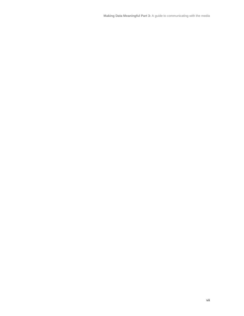**Making Data Meaningful Part 3:** A guide to communicating with the media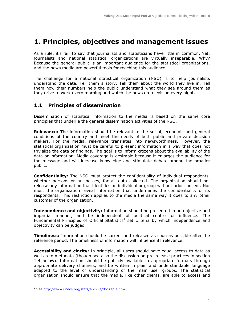## 1. Principles, objectives and management issues

As a rule, it's fair to say that journalists and statisticians have little in common. Yet, journalists and national statistical organizations are virtually inseparable. Why? Because the general public is an important audience for the statistical organizations, and the news media are powerful tools for reaching this audience.

The challenge for a national statistical organization (NSO) is to help journalists understand the data. Tell them a story. Tell them about the world they live in. Tell them how their numbers help the public understand what they see around them as they drive to work every morning and watch the news on television every night.

## 1.1 Principles of dissemination

Dissemination of statistical information to the media is based on the same core principles that underlie the general dissemination activities of the NSO.

**Relevance:** The information should be relevant to the social, economic and general conditions of the country and meet the needs of both public and private decision makers. For the media, relevance translates into newsworthiness. However, the statistical organization must be careful to present information in a way that does not trivialize the data or findings. The goal is to inform citizens about the availability of the data or information. Media coverage is desirable because it enlarges the audience for the message and will increase knowledge and stimulate debate among the broader public.

**Confidentiality:** The NSO must protect the confidentiality of individual respondents, whether persons or businesses, for all data collected. The organization should not release any information that identifies an individual or group without prior consent. Nor must the organization reveal information that undermines the confidentiality of its respondents. This restriction applies to the media the same way it does to any other customer of the organization.

Independence and objectivity: Information should be presented in an objective and impartial manner, and be independent of political control or influence. The Fundamental Principles of Official Statistics<sup>4</sup> set criteria by which independence and objectivity can be judged.

**Timeliness:** Information should be current and released as soon as possible after the reference period. The timeliness of information will influence its relevance.

Accessibility and clarity: In principle, all users should have equal access to data as well as to metadata (though see also the discussion on pre-release practices in section 1.4 below). Information should be publicly available in appropriate formats through appropriate delivery channels, and be written in plain and understandable language adapted to the level of understanding of the main user groups. The statistical organization should ensure that the media, like other clients, are able to access and

 $\overline{a}$ 

<sup>&</sup>lt;sup>4</sup> See http://www.unece.org/stats/archive/docs.fp.e.htm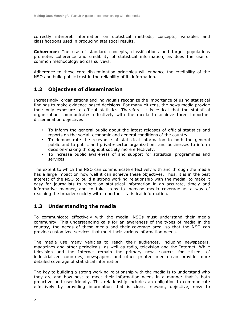correctly interpret information on statistical methods, concepts, variables and classifications used in producing statistical results.

**Coherence:** The use of standard concepts, classifications and target populations promotes coherence and credibility of statistical information, as does the use of common methodology across surveys.

Adherence to these core dissemination principles will enhance the credibility of the NSO and build public trust in the reliability of its information.

## 1.2 Objectives of dissemination

Increasingly, organizations and individuals recognize the importance of using statistical findings to make evidence-based decisions. For many citizens, the news media provide their only exposure to official statistics. Therefore, it is critical that the statistical organization communicates effectively with the media to achieve three important dissemination objectives:

- To inform the general public about the latest releases of official statistics and reports on the social, economic and general conditions of the country.
- To demonstrate the relevance of statistical information to both the general public and to public and private-sector organizations and businesses to inform decision-making throughout society more effectively.
- To increase public awareness of and support for statistical programmes and services.

The extent to which the NSO can communicate effectively with and through the media has a large impact on how well it can achieve these objectives. Thus, it is in the best interest of the NSO to build a strong working relationship with the media, to make it easy for journalists to report on statistical information in an accurate, timely and informative manner, and to take steps to increase media coverage as a way of reaching the broader society with important statistical information.

## 1.3 Understanding the media

To communicate effectively with the media, NSOs must understand their media community. This understanding calls for an awareness of the types of media in the country, the needs of these media and their coverage area, so that the NSO can provide customized services that meet their various information needs.

The media use many vehicles to reach their audiences, including newspapers, magazines and other periodicals, as well as radio, television and the Internet. While television and the Internet remain the primary news sources for citizens of industrialized countries, newspapers and other printed media can provide more detailed coverage of statistical information.

The key to building a strong working relationship with the media is to understand who they are and how best to meet their information needs in a manner that is both proactive and user-friendly. This relationship includes an obligation to communicate effectively by providing information that is clear, relevant, objective, easy to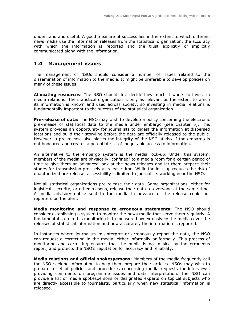understand and useful. A good measure of success lies in the extent to which different news media use the information releases from the statistical organization, the accuracy with which the information is reported and the trust explicitly or implicitly communicated along with the information.

## 1.4 Management issues

The management of NSOs should consider a number of issues related to the dissemination of information to the media. It might be preferable to develop policies on many of these issues.

Allocating resources: The NSO should first decide how much it wants to invest in media relations. The statistical organization is only as relevant as the extent to which its information is known and used across society, so investing in media relations is fundamentally important to the success of the statistical organization.

**Pre-release of data:** The NSO may wish to develop a policy concerning the electronic pre-release of statistical data to the media under embargo (see chapter 5). This system provides an opportunity for journalists to digest the information at dispersed locations and build their storyline before the data are officially released to the public. However, a pre-release also places the integrity of the NSO at risk if the embargo is not honoured and creates a potential risk of inequitable access to information.

An alternative to the embargo system is the media lock-up. Under this system, members of the media are physically "confined" to a media room for a certain period of time to give them an advanced look at the news releases and let them prepare their stories for transmission precisely at release time. While the lock-up reduces the risk of unauthorized pre-release, accessibility is limited to journalists working near the NSO.

Not all statistical organizations pre-release their data. Some organizations, either for logistical, security, or other reasons, release their data to everyone at the same time. A media advisory notice sent to the media in advance of the release could put reporters on the alert.

Media monitoring and response to erroneous statements: The NSO should consider establishing a system to monitor the news media that serve them regularly. A fundamental step in this monitoring is to measure how extensively the media cover the releases of statistical information and how accurately the information is reported.

In instances where journalists misinterpret or erroneously report the data, the NSO can request a correction in the media, either informally or formally. This process of monitoring and correcting ensures that the public is not misled by the erroneous report, and protects the NSO's reputation for accuracy and reliability.

**Media relations and official spokespersons:** Members of the media frequently call the NSO seeking information to help them prepare their articles. NSOs may wish to prepare a set of policies and procedures concerning media requests for interviews, providing comments on programme issues and data interpretation. The NSO can provide a list of media spokespersons or designated experts on topical subjects who are directly accessible to journalists, particularly when new statistical information is released.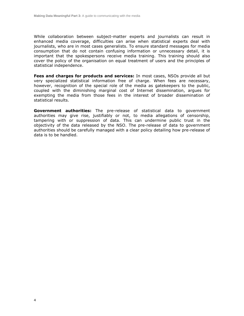While collaboration between subject-matter experts and journalists can result in enhanced media coverage, difficulties can arise when statistical experts deal with journalists, who are in most cases generalists. To ensure standard messages for media consumption that do not contain confusing information or unnecessary detail, it is important that the spokespersons receive media training. This training should also cover the policy of the organisation on equal treatment of users and the principles of statistical independence.

Fees and charges for products and services: In most cases, NSOs provide all but very specialized statistical information free of charge. When fees are necessary, however, recognition of the special role of the media as gatekeepers to the public, coupled with the diminishing marginal cost of Internet dissemination, argues for exempting the media from those fees in the interest of broader dissemination of statistical results.

Government authorities: The pre-release of statistical data to government authorities may give rise, justifiably or not, to media allegations of censorship, tampering with or suppression of data. This can undermine public trust in the objectivity of the data released by the NSO. The pre-release of data to government authorities should be carefully managed with a clear policy detailing how pre-release of data is to be handled.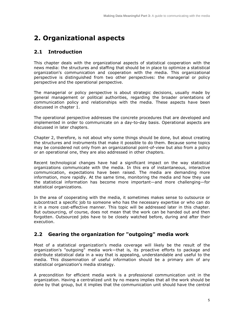## 2. Organizational aspects

## 2.1 Introduction

This chapter deals with the organizational aspects of statistical cooperation with the news media: the structures and staffing that should be in place to optimize a statistical organization's communication and cooperation with the media. This organizational perspective is distinguished from two other perspectives: the managerial or policy perspective and the operational perspective.

The managerial or policy perspective is about strategic decisions, usually made by general management or political authorities, regarding the broader orientations of communication policy and relationships with the media. These aspects have been discussed in chapter 1.

The operational perspective addresses the concrete procedures that are developed and implemented in order to communicate on a day-to-day basis. Operational aspects are discussed in later chapters.

Chapter 2, therefore, is not about why some things should be done, but about creating the structures and instruments that make it possible to do them. Because some topics may be considered not only from an organizational point-of-view but also from a policy or an operational one, they are also addressed in other chapters.

Recent technological changes have had a significant impact on the way statistical organizations communicate with the media. In this era of instantaneous, interactive communication, expectations have been raised. The media are demanding more information, more rapidly. At the same time, monitoring the media and how they use the statistical information has become more important—and more challenging—for statistical organizations.

In the area of cooperating with the media, it sometimes makes sense to outsource or subcontract a specific job to someone who has the necessary expertise or who can do it in a more cost-effective manner. This topic will be addressed later in this chapter. But outsourcing, of course, does not mean that the work can be handed out and then forgotten. Outsourced jobs have to be closely watched before, during and after their execution.

## 2.2 Gearing the organization for "outgoing" media work

Most of a statistical organization's media coverage will likely be the result of the organization's "outgoing" media work—that is, its proactive efforts to package and distribute statistical data in a way that is appealing, understandable and useful to the media. This dissemination of useful information should be a primary aim of any statistical organization's media strategy.

A precondition for efficient media work is a professional communication unit in the organization. Having a centralized unit by no means implies that all the work should be done by that group, but it implies that the communication unit should have the central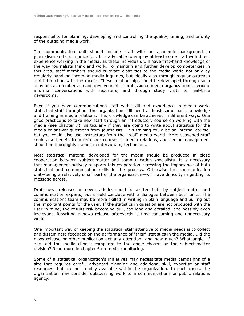responsibility for planning, developing and controlling the quality, timing, and priority of the outgoing media work.

The communication unit should include staff with an academic background in journalism and communication. It is advisable to employ at least some staff with direct experience working in the media, as these individuals will have first-hand knowledge of the way journalists think and work. To maintain and further develop competencies in this area, staff members should cultivate close ties to the media world not only by regularly handling incoming media inquiries, but ideally also through regular outreach and interaction with the media. These relationships could be developed through such activities as membership and involvement in professional media organizations, periodic informal conversations with reporters, and through study visits to real-time newsrooms.

Even if you have communications staff with skill and experience in media work, statistical staff throughout the organization still need at least some basic knowledge and training in media relations. This knowledge can be achieved in different ways. One good practice is to take new staff through an introductory course on working with the media (see chapter 7), particularly if they are going to write about statistics for the media or answer questions from journalists. This training could be an internal course, but you could also use instructors from the "real" media world. More seasoned staff could also benefit from refresher courses in media relations, and senior management should be thoroughly trained in interviewing techniques.

Most statistical material developed for the media should be produced in close cooperation between subject-matter and communication specialists. It is necessary that management actively supports this cooperation, stressing the importance of both statistical and communication skills in the process. Otherwise the communication unit—being a relatively small part of the organization—will have difficulty in getting its message across.

Draft news releases on new statistics could be written both by subject-matter and communication experts, but should conclude with a dialogue between both units. The communications team may be more skilled in writing in plain language and pulling out the important points for the user. If the statistics in question are not produced with the user in mind, the results risk becoming dull, too long and detailed, and possibly even irrelevant. Rewriting a news release afterwards is time-consuming and unnecessary work.

One important way of keeping the statistical staff attentive to media needs is to collect and disseminate feedback on the performance of "their" statistics in the media. Did the news release or other publication get any attention—and how much? What angle—if any—did the media choose compared to the angle chosen by the subject-matter division? Read more in chapter 6 on media monitoring.

Some of a statistical organization's initiatives may necessitate media campaigns of a size that requires careful advanced planning and additional skill, expertise or staff resources that are not readily available within the organization. In such cases, the organization may consider outsourcing work to a communications or public relations agency.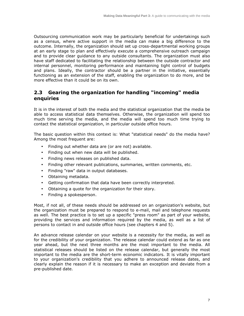Outsourcing communication work may be particularly beneficial for undertakings such as a census, where active support in the media can make a big difference to the outcome. Internally, the organization should set up cross-departmental working groups at an early stage to plan and effectively execute a comprehensive outreach campaign and to provide clear guidance to any outside consultants. The organization must also have staff dedicated to facilitating the relationship between the outside contractor and internal personnel, monitoring performance and maintaining tight control of budgets and plans. Ideally, the contractor should be a partner in the initiative, essentially functioning as an extension of the staff, enabling the organization to do more, and be more effective than it could be on its own.

## 2.3 Gearing the organization for handling "incoming" media enquiries

It is in the interest of both the media and the statistical organization that the media be able to access statistical data themselves. Otherwise, the organization will spend too much time serving the media, and the media will spend too much time trying to contact the statistical organization, in particular outside office hours.

The basic question within this context is: What "statistical needs" do the media have? Among the most frequent are:

- Finding out whether data are (or are not) available.
- Finding out when new data will be published.
- Finding news releases on published data.
- Finding other relevant publications, summaries, written comments, etc.
- Finding "raw" data in output databases.
- Obtaining metadata.
- Getting confirmation that data have been correctly interpreted.
- Obtaining a quote for the organization for their story.
- Finding a spokesperson.

Most, if not all, of these needs should be addressed on an organization's website, but the organization must be prepared to respond to e-mail, mail and telephone requests as well. The best practice is to set up a specific "press room" as part of your website, providing the services and information required by the media, as well as a list of persons to contact in and outside office hours (see chapters 4 and 5).

An advance release calendar on your website is a necessity for the media, as well as for the credibility of your organization. The release calendar could extend as far as one year ahead, but the next three months are the most important to the media. All statistical releases should be listed on the release calendar, but generally the most important to the media are the short-term economic indicators. It is vitally important to your organization's credibility that you adhere to announced release dates, and clearly explain the reason if it is necessary to make an exception and deviate from a pre-published date.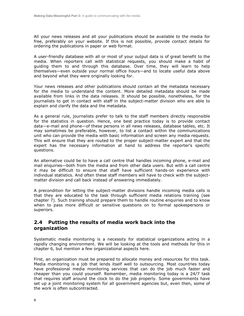All your news releases and all your publications should be available to the media for free, preferably on your website. If this is not possible, provide contact details for ordering the publications in paper or web format.

A user-friendly database with all or most of your output data is of great benefit to the media. When reporters call with statistical requests, you should make a habit of guiding them to and through this database. Over time, they will learn to help themselves—even outside your normal office hours—and to locate useful data above and beyond what they were originally looking for.

Your news releases and other publications should contain all the metadata necessary for the media to understand the content. More detailed metadata should be made available from links in the data releases. It should be possible, nonetheless, for the iournalists to get in contact with staff in the subject-matter division who are able to explain and clarify the data and the metadata.

As a general rule, journalists prefer to talk to the staff members directly responsible for the statistics in question. Hence, one best practice today is to provide contact data—e-mail and phone—of these persons in all news releases, database tables, etc. It may sometimes be preferable, however, to list a contact within the communications unit who can provide the media with basic information and screen any media requests. This will ensure that they are routed to the proper subject-matter expert and that the expert has the necessary information at hand to address the reporter's specific questions.

An alternative could be to have a call centre that handles incoming phone, e-mail and mail enquiries—both from the media and from other data users. But with a call centre it may be difficult to ensure that staff have sufficient hands-on experience with individual statistics. And often these staff members will have to check with the subjectmatter division and call back instead of answering immediately.

A precondition for letting the subject-matter divisions handle incoming media calls is that they are educated to the task through sufficient media relations training (see chapter 7). Such training should prepare them to handle routine enquiries and to know when to pass more difficult or sensitive questions on to formal spokespersons or superiors.

## 2.4 Putting the results of media work back into the organization

Systematic media monitoring is a necessity for statistical organizations acting in a rapidly changing environment. We will be looking at the tools and methods for this in chapter 6, but mention a few organizational aspects here.

First, an organization must be prepared to allocate money and resources for this task. Media monitoring is a job that lends itself well to outsourcing. Most countries today have professional media monitoring services that can do the job much faster and cheaper than you could yourself. Remember, media monitoring today is a 24/7 task that requires staff around the clock to do the job properly. Some governments have set up a joint monitoring system for all government agencies but, even then, some of the work is often subcontracted.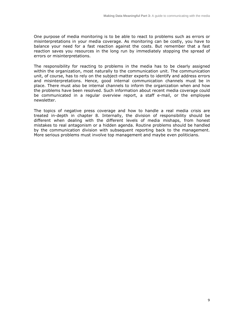One purpose of media monitoring is to be able to react to problems such as errors or misinterpretations in your media coverage. As monitoring can be costly, you have to balance your need for a fast reaction against the costs. But remember that a fast reaction saves you resources in the long run by immediately stopping the spread of errors or misinterpretations.

The responsibility for reacting to problems in the media has to be clearly assigned within the organization, most naturally to the communication unit. The communication unit, of course, has to rely on the subject-matter experts to identify and address errors and misinterpretations. Hence, good internal communication channels must be in place. There must also be internal channels to inform the organization when and how the problems have been resolved. Such information about recent media coverage could be communicated in a regular overview report, a staff e-mail, or the employee newsletter.

The topics of negative press coverage and how to handle a real media crisis are treated in-depth in chapter 8. Internally, the division of responsibility should be different when dealing with the different levels of media mishaps, from honest mistakes to real antagonism or a hidden agenda. Routine problems should be handled by the communication division with subsequent reporting back to the management. More serious problems must involve top management and maybe even politicians.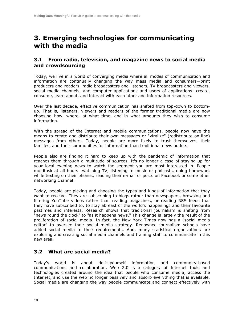## 3. Emerging technologies for communicating with the media

## 3.1 From radio, television, and magazine news to social media and crowdsourcing

Today, we live in a world of converging media where all modes of communication and information are continually changing the way mass media and consumers—print producers and readers, radio broadcasters and listeners, TV broadcasters and viewers, social media channels, and computer applications and users of applications—create, consume, learn about, and interact with each other and information resources.

Over the last decade, effective communication has shifted from top-down to bottomup. That is, listeners, viewers and readers of the former traditional media are now choosing how, where, at what time, and in what amounts they wish to consume information.

With the spread of the Internet and mobile communications, people now have the means to create and distribute their own messages or "viralize" (redistribute on-line) messages from others. Today, people are more likely to trust themselves, their families, and their communities for information than traditional news outlets.

People also are finding it hard to keep up with the pandemic of information that reaches them through a multitude of sources. It's no longer a case of staying up for your local evening news to watch the segment you are most interested in. People multitask at all hours—watching TV, listening to music or podcasts, doing homework while texting on their phones, reading their e-mail or posts on Facebook or some other networking channel.

Today, people are picking and choosing the types and kinds of information that they want to receive. They are subscribing to blogs rather than newspapers, browsing and filtering YouTube videos rather than reading magazines, or reading RSS feeds that they have subscribed to, to stay abreast of the world's happenings and their favourite pastimes and interests. Research shows that traditional journalism is shifting from "news round the clock" to "as it happens news." This change is largely the result of the proliferation of social media. In fact, the New York Times now has a "social media editor" to oversee their social media strategy. Renowned journalism schools have added social media to their requirements. And, many statistical organizations are exploring and creating social media channels and training staff to communicate in this new area.

## 3.2 What are social media?

Today's world is about do-it-yourself information and community-based communications and collaboration. Web 2.0 is a category of Internet tools and technologies created around the idea that people who consume media, access the Internet, and use the web no longer passively and absorb everything that is available. Social media are changing the way people communicate and connect effectively with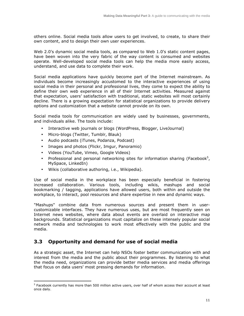others online. Social media tools allow users to get involved, to create, to share their own content, and to design their own user experiences.

Web 2.0's dynamic social media tools, as compared to Web 1.0's static content pages, have been woven into the very fabric of the way content is consumed and websites operate. Well-developed social media tools can help the media more easily access, understand, and use data to complete their work.

Social media applications have quickly become part of the Internet mainstream. As individuals become increasingly accustomed to the interactive experiences of using social media in their personal and professional lives, they come to expect the ability to define their own web experience in all of their Internet activities. Measured against that expectation, users' satisfaction with traditional, static websites will most certainly decline. There is a growing expectation for statistical organizations to provide delivery options and customization that a website cannot provide on its own.

Social media tools for communication are widely used by businesses, governments, and individuals alike. The tools include:

- Interactive web journals or blogs (WordPress, Blogger, LiveJournal)
- Micro-blogs (Twitter, Tumblr, Blauk)

 $\overline{a}$ 

- Audio podcasts (iTunes, Podanza, Podcast)
- Images and photos (Flickr, Imgur, Panoramio)
- Videos (YouTube, Vimeo, Google Videos)
- Professional and personal networking sites for information sharing (Facebook $5$ , MySpace, LinkedIn)
- Wikis (collaborative authoring, i.e., Wikipedia).

Use of social media in the workplace has been especially beneficial in fostering increased collaboration. Various tools, including wikis, mashups and social bookmarking / tagging, applications have allowed users, both within and outside the workplace, to interact, pool resources and share expertise in new and dynamic ways.

"Mashups" combine data from numerous sources and present them in usercustomizable interfaces. They have numerous uses, but are most frequently seen on Internet news websites, where data about events are overlaid on interactive map backgrounds. Statistical organizations must capitalize on these intensely popular social network media and technologies to work most effectively with the public and the media.

## 3.3 Opportunity and demand for use of social media

As a strategic asset, the Internet can help NSOs foster better communication with and interest from the media and the public about their programmes. By listening to what the media need, organizations can provide better media services and media offerings that focus on data users' most pressing demands for information.

<sup>&</sup>lt;sup>5</sup> Facebook currently has more than 500 million active users, over half of whom access their account at least once daily.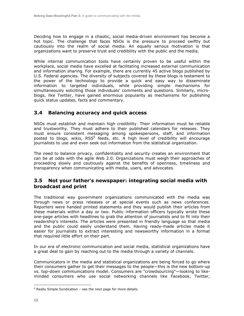Deciding how to engage in a chaotic, social media-driven environment has become a hot topic. The challenge that faces NSOs is the pressure to proceed swiftly but cautiously into the realm of social media. An equally serious motivation is that organizations want to preserve trust and credibility with the public and the media.

While internal communication tools have certainly proven to be useful within the workplace, social media have excelled at facilitating increased external communication and information sharing. For example, there are currently 45 active blogs published by U.S. Federal agencies. The diversity of subjects covered by these blogs is testament to the power of the technology to provide a quick and easy way to disseminate information to targeted individuals, while providing simple mechanisms for simultaneously soliciting those individuals' comments and questions. Similarly, microblogs, like Twitter, have gained enormous popularity as mechanisms for publishing quick status updates, facts and commentary.

## 3.4 Balancing accuracy and quick access

NSOs must establish and maintain high credibility. Their information must be reliable and trustworthy. They must adhere to their published calendars for releases. They must ensure consistent messaging among spokespersons, staff, and information posted to blogs, wikis, RSS<sup>6</sup> feeds, etc. A high level of credibility will encourage journalists to use and even seek out information from the statistical organization.

The need to balance privacy, confidentiality and security creates an environment that can be at odds with the agile Web 2.0. Organizations must weigh their approaches of proceeding slowly and cautiously against the benefits of openness, timeliness and transparency when communicating with media, users, and advocates.

## 3.5 Not your father's newspaper: integrating social media with broadcast and print

The traditional way government organizations communicated with the media was through news or press releases or at special events such as news conferences. Reporters were handed printed statements and they would publish their articles from these materials within a day or two. Public information officers typically wrote these one-page articles with headlines to grab the attention of journalists and to fit into their readership's interests. The articles were presented in friendly language so that media and the public could easily understand them. Having ready-made articles made it easier for journalists to extract interesting and newsworthy information in a format that required little effort on their part.

In our era of electronic communication and social media, statistical organizations have a great deal to gain by reaching out to the media through a variety of channels.

Communicators in the media and statistical organizations are being forced to go where their consumers gather to get their messages to the people—this is the new bottom-up vs. top-down communications model. Consumers are "crowdsourcing"—looking to likeminded consumers who use social networking channels like Facebook, Twitter,

 $\overline{a}$ 

 $6$  Really Simple Syndication – see the next page for more details.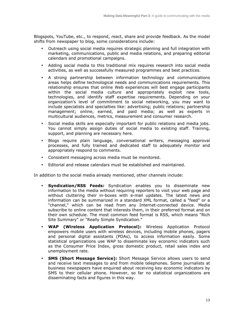Blogspots, YouTube, etc., to respond, react, share and provide feedback. As the model shifts from newspaper to blog, some considerations include:

- Outreach using social media requires strategic planning and full integration with marketing, communications, public and media relations, and preparing editorial calendars and promotional campaigns.
- Adding social media to this traditional mix requires research into social media activities, as well as successfully measured programmes and best practices.
- A strong partnership between information technology and communications areas helps define technological needs and communications requirements. This relationship ensures that online Web experiences will best engage participants within the social media culture and appropriately exploit new tools, technologies, and identify staff expertise requirements. Depending on your organization's level of commitment to social networking, you may want to include specialists and specialties like: advertising; public relations; partnership management; online, earned, and paid media; as well as experts in multicultural audiences, metrics, measurement and consumer research.
- Social media skills are especially important for public relations and media jobs. You cannot simply assign duties of social media to existing staff. Training, support, and planning are necessary here.
- Blogs require plain language, conversational writers, messaging approval processes, and fully trained and dedicated staff to adequately monitor and appropriately respond to comments.
- Consistent messaging across media must be monitored.
- Editorial and release calendars must be established and maintained.

In addition to the social media already mentioned, other channels include:

- **Syndication/RSS Feeds:** Syndication enables you to disseminate new information to the media without requiring reporters to visit your web page and without cluttering their in-boxes with e-mail updates. The latest news and information can be summarized in a standard XML format, called a "feed" or a "channel," which can be read from any Internet-connected device. Media subscribe to online content that interests them, in their preferred format and on their own schedule. The most common feed format is RSS, which means "Rich Site Summary" or "Really Simple Syndication."
- WAP (Wireless Application Protocol): Wireless Application Protocol empowers mobile users with wireless devices, including mobile phones, pagers and personal digital assistants (PDAs), to access information easily. Some statistical organizations use WAP to disseminate key economic indicators such as the Consumer Price Index, gross domestic product, retail sales index and unemployment rate.
- **SMS (Short Message Service):** Short Message Service allows users to send and receive text messages to and from mobile telephones. Some journalists at business newspapers have enquired about receiving key economic indicators by SMS to their cellular phone. However, so far no statistical organizations are disseminating facts and figures in this way.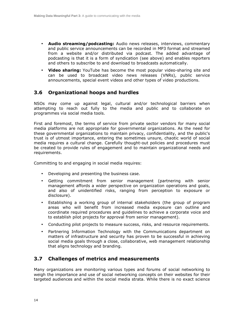- Audio streaming/podcasting: Audio news releases, interviews, commentary and public service announcements can be recorded in MP3 format and streamed from a website and/or distributed via podcast. The added advantage of podcasting is that it is a form of syndication (see above) and enables reporters and others to subscribe to and download to broadcasts automatically.
- Video sharing: YouTube has become the most popular video-sharing site and can be used to broadcast video news releases (VNRs), public service announcements, special event videos and other types of video productions.

## 3.6 Organizational hoops and hurdles

NSOs may come up against legal, cultural and/or technological barriers when attempting to reach out fully to the media and public and to collaborate on programmes via social media tools.

First and foremost, the terms of service from private sector vendors for many social media platforms are not appropriate for governmental organizations. As the need for these governmental organizations to maintain privacy, confidentiality, and the public's trust is of utmost importance, entering the sometimes unsure, chaotic world of social media requires a cultural change. Carefully thought-out policies and procedures must be created to provide rules of engagement and to maintain organizational needs and requirements.

Committing to and engaging in social media requires:

- Developing and presenting the business case.
- Getting commitment from senior management (partnering with senior management affords a wider perspective on organization operations and goals, and also of unidentified risks, ranging from perception to exposure or disclosure).
- Establishing a working group of internal stakeholders (the group of program areas who will benefit from increased media exposure can outline and coordinate required procedures and guidelines to achieve a corporate voice and to establish pilot projects for approval from senior management).
- Conducting pilot projects to measure success, risks, and resource requirements.
- Partnering Information Technology with the Communications department on matters of infrastructure and security has proven to be successful in achieving social media goals through a close, collaborative, web management relationship that aligns technology and branding.

## 3.7 Challenges of metrics and measurements

Many organizations are monitoring various types and forums of social networking to weigh the importance and use of social networking concepts on their websites for their targeted audiences and within the social media strata. While there is no exact science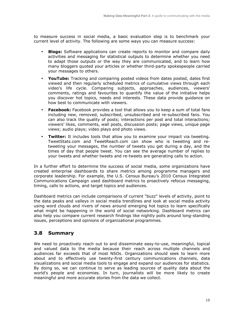to measure success in social media, a basic evaluation step is to benchmark your current level of activity. The following are some ways you can measure success:

- **Blogs:** Software applications can create reports to monitor and compare daily activities and messaging for statistical outputs to determine whether you need to adapt those outputs or the way they are communicated, and to learn how many bloggers quoted your articles or whether third-party spokespeople carried your messages to others.
- YouTube: Tracking and comparing posted videos from dates posted, dates first viewed and then regularly scheduled metrics of cumulative views through each video's life cycle. Comparing subjects, approaches, audiences, viewers' comments, ratings and favourites to quantify the value of the initiative helps you discover hot topics, needs and interests. These data provide guidance on how best to communicate with viewers.
- Facebook: Facebook provides a tool that allows you to keep a sum of total fans including new, removed, subscribed, unsubscribed and re-subscribed fans. You can also track the quality of posts; interactions per post and total interactions; viewers' likes, comments, wall posts, discussion posts; page views, unique page views; audio plays; video plays and photo views.
- Twitter: It includes tools that allow you to examine your impact via tweeting. TweetStats.com and TweetReach.com can show who is tweeting and retweeting your messages, the number of tweets you get during a day, and the times of day that people tweet. You can see the average number of replies to your tweets and whether tweets and re-tweets are generating calls to action.

In a further effort to determine the success of social media, some organizations have created enterprise dashboards to share metrics among programme managers and corporate leadership. For example, the U.S. Census Bureau's 2010 Census Integrated Communications Campaign used dashboard metrics to proactively refocus messaging, timing, calls to actions, and target topics and audiences.

Dashboard metrics can include comparisons of current "buzz" levels of activity, point to the data peaks and valleys in social media trendlines and look at social media activity using word clouds and rivers of news around emerging hot topics to learn specifically what might be happening in the world of social networking. Dashboard metrics can also help you compare current research findings like nightly polls around long-standing issues, perceptions and opinions of organizational programmes.

## 3.8 Summary

We need to proactively reach out to and disseminate easy-to-use, meaningful, topical and valued data to the media because their reach across multiple channels and audiences far exceeds that of most NSOs. Organizations should seek to learn more about and to effectively use twenty-first century communications channels, data visualizations and social media tools to engage and expand our audiences for statistics. By doing so, we can continue to serve as leading sources of quality data about the world's people and economies. In turn, journalists will be more likely to create meaningful and more accurate stories from the data we collect.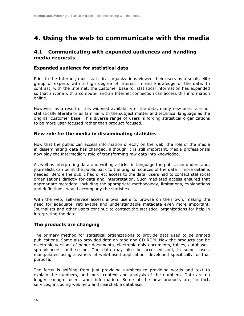## 4. Using the web to communicate with the media

## 4.1 Communicating with expanded audiences and handling media requests

## Expanded audience for statistical data

Prior to the Internet, most statistical organizations viewed their users as a small, elite group of experts with a high degree of interest in and knowledge of the data. In contrast, with the Internet, the customer base for statistical information has expanded so that anyone with a computer and an Internet connection can access this information online.

However, as a result of this widened availability of the data, many new users are not statistically literate or as familiar with the subject matter and technical language as the original customer base. This diverse range of users is forcing statistical organizations to be more user-focused rather than product-focused.

## New role for the media in disseminating statistics

Now that the public can access information directly on the web, the role of the media in disseminating data has changed, although it is still important. Media professionals now play the intermediary role of transforming raw data into knowledge.

As well as interpreting data and writing articles in language the public can understand, journalists can point the public back to the original sources of the data if more detail is needed. Before the public had direct access to the data, users had to contact statistical organizations directly for data and interpretation. Such mediated access ensured that appropriate metadata, including the appropriate methodology, limitations, explanations and definitions, would accompany the statistics.

With the web, self-service access allows users to browse on their own, making the need for adequate, retrievable and understandable metadata even more important. Journalists and other users continue to contact the statistical organizations for help in interpreting the data.

## The products are changing

The primary method for statistical organizations to provide data used to be printed publications. Some also provided data on tape and CD-ROM. Now the products can be electronic versions of paper documents, electronic-only documents, tables, databases, spreadsheets, and so on. The data may also be accessed and, in some cases, manipulated using a variety of web-based applications developed specifically for that purpose.

The focus is shifting from just providing numbers to providing words and text to explain the numbers, and more context and analysis of the numbers. Data are no longer enough: users want information. Some of the new products are, in fact, services, including web help and searchable databases.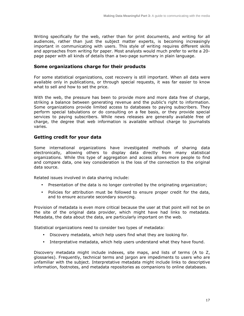Writing specifically for the web, rather than for print documents, and writing for all audiences, rather than just the subject matter experts, is becoming increasingly important in communicating with users. This style of writing requires different skills and approaches from writing for paper. Most analysts would much prefer to write a 20 page paper with all kinds of details than a two-page summary in plain language.

### Some organizations charge for their products

For some statistical organizations, cost recovery is still important. When all data were available only in publications, or through special requests, it was far easier to know what to sell and how to set the price.

With the web, the pressure has been to provide more and more data free of charge, striking a balance between generating revenue and the public's right to information. Some organizations provide limited access to databases to paying subscribers. They perform special tabulations or do consulting on a fee basis, or they provide special services to paying subscribers. While news releases are generally available free of charge, the degree that web information is available without charge to journalists varies.

## Getting credit for your data

Some international organizations have investigated methods of sharing data electronically, allowing others to display data directly from many statistical organizations. While this type of aggregation and access allows more people to find and compare data, one key consideration is the loss of the connection to the original data source.

Related issues involved in data sharing include:

- Presentation of the data is no longer controlled by the originating organization;
- Policies for attribution must be followed to ensure proper credit for the data, and to ensure accurate secondary sourcing.

Provision of metadata is even more critical because the user at that point will not be on the site of the original data provider, which might have had links to metadata. Metadata, the data about the data, are particularly important on the web.

Statistical organizations need to consider two types of metadata:

- Discovery metadata, which help users find what they are looking for.
- Interpretative metadata, which help users understand what they have found.

Discovery metadata might include indexes, site maps, and lists of terms (A to Z, glossaries). Frequently, technical terms and jargon are impediments to users who are unfamiliar with the subject. Interpretative metadata might include links to descriptive information, footnotes, and metadata repositories as companions to online databases.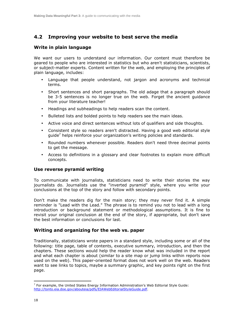## 4.2 Improving your website to best serve the media

## Write in plain language

We want our users to understand our information. Our content must therefore be geared to people who are interested in statistics but who aren't statisticians, scientists, or subject-matter experts. Content written for the web, and employing the principles of plain language, includes:

- Language that people understand, not jargon and acronyms and technical terms.
- Short sentences and short paragraphs. The old adage that a paragraph should be 3-5 sentences is no longer true on the web. Forget the ancient guidance from your literature teacher!
- Headings and subheadings to help readers scan the content.
- Bulleted lists and bolded points to help readers see the main ideas.
- Active voice and direct sentences without lots of qualifiers and side thoughts.
- Consistent style so readers aren't distracted. Having a good web editorial style guide<sup>7</sup> helps reinforce your organization's writing policies and standards.
- Rounded numbers whenever possible. Readers don't need three decimal points to get the message.
- Access to definitions in a glossary and clear footnotes to explain more difficult concepts.

## Use reverse pyramid writing

To communicate with journalists, statisticians need to write their stories the way journalists do. Journalists use the "inverted pyramid" style, where you write your conclusions at the top of the story and follow with secondary points.

Don't make the readers dig for the main story; they may never find it. A simple reminder is "Lead with the Lead." The phrase is to remind you not to lead with a long introduction or background statement or methodological assumptions. It is fine to revisit your original conclusion at the end of the story, if appropriate, but don't save the best information or conclusions for last.

## Writing and organizing for the web vs. paper

Traditionally, statisticians wrote papers in a standard style, including some or all of the following: title page, table of contents, executive summary, introduction, and then the chapters. These sections would help the reader know what was included in the report and what each chapter is about (similar to a site map or jump links within reports now used on the web). This paper-oriented format does not work well on the web. Readers want to see links to topics, maybe a summary graphic, and key points right on the first page.

 $\overline{a}$ 

 $<sup>7</sup>$  For example, the United States Energy Information Administration's Web Editorial Style Guide:</sup> http://tonto.eia.doe.gov/abouteia/pdfs/EIAWebEditorialStyleGuide.pdf.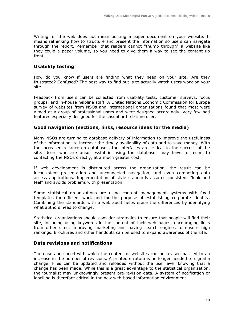Writing for the web does not mean posting a paper document on your website. It means rethinking how to structure and present the information so users can navigate through the report. Remember that readers cannot "thumb through" a website like they could a paper volume, so you need to give them a way to see the content up front.

## Usability testing

How do you know if users are finding what they need on your site? Are they frustrated? Confused? The best way to find out is to actually watch users work on your site.

Feedback from users can be collected from usability tests, customer surveys, focus groups, and in-house helpline staff. A United Nations Economic Commission for Europe survey of websites from NSOs and international organizations found that most were aimed at a group of professional users and were designed accordingly. Very few had features especially designed for the casual or first-time user.

## Good navigation (sections, links, resource ideas for the media)

Many NSOs are turning to database delivery of information to improve the usefulness of the information, to increase the timely availability of data and to save money. With the increased reliance on databases, the interfaces are critical to the success of the site. Users who are unsuccessful in using the databases may have to resort to contacting the NSOs directly, at a much greater cost.

If web development is distributed across the organization, the result can be inconsistent presentation and unconnected navigation, and even competing data access applications. Implementation of style standards assures consistent "look and feel" and avoids problems with presentation.

Some statistical organizations are using content management systems with fixed templates for efficient work and for the purpose of establishing corporate identity. Combining the standards with a web audit helps erase the differences by identifying what authors need to change.

Statistical organizations should consider strategies to ensure that people will find their site, including using keywords in the content of their web pages, encouraging links from other sites, improving marketing and paying search engines to ensure high rankings. Brochures and other handouts can be used to expand awareness of the site.

## Data revisions and notifications

The ease and speed with which the content of websites can be revised has led to an increase in the number of revisions. A printed erratum is no longer needed to signal a change. Files can be updated and reloaded without the user ever knowing that a change has been made. While this is a great advantage to the statistical organization, the journalist may unknowingly present pre-revision data. A system of notification or labelling is therefore critical in the new web-based information environment.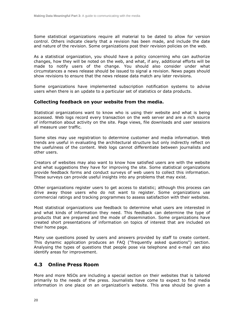Some statistical organizations require all material to be dated to allow for version control. Others indicate clearly that a revision has been made, and include the date and nature of the revision. Some organizations post their revision policies on the web.

As a statistical organization, you should have a policy concerning who can authorize changes, how they will be noted on the web, and what, if any, additional efforts will be made to notify users of the change. You should also consider under what circumstances a news release should be issued to signal a revision. News pages should show revisions to ensure that the news release data match any later revisions.

Some organizations have implemented subscription notification systems to advise users when there is an update to a particular set of statistics or data products.

## Collecting feedback on your website from the media.

Statistical organizations want to know who is using their website and what is being accessed. Web logs record every transaction on the web server and are a rich source of information about activity on the site. Page views, file downloads and user sessions all measure user traffic.

Some sites may use registration to determine customer and media information. Web trends are useful in evaluating the architectural structure but only indirectly reflect on the usefulness of the content. Web logs cannot differentiate between journalists and other users.

Creators of websites may also want to know how satisfied users are with the website and what suggestions they have for improving the site. Some statistical organizations provide feedback forms and conduct surveys of web users to collect this information. These surveys can provide useful insights into any problems that may exist.

Other organizations register users to get access to statistic; although this process can drive away those users who do not want to register. Some organizations use commercial ratings and tracking programmes to assess satisfaction with their websites.

Most statistical organizations use feedback to determine what users are interested in and what kinds of information they need. This feedback can determine the type of products that are prepared and the mode of dissemination. Some organizations have created short presentations of information on topics of interest that are included on their home page.

Many use questions posed by users and answers provided by staff to create content. This dynamic application produces an FAQ ("frequently asked questions") section. Analysing the types of questions that people pose via telephone and e-mail can also identify areas for improvement.

## 4.3 Online Press Room

More and more NSOs are including a special section on their websites that is tailored primarily to the needs of the press. Journalists have come to expect to find media information in one place on an organization's website. This area should be given a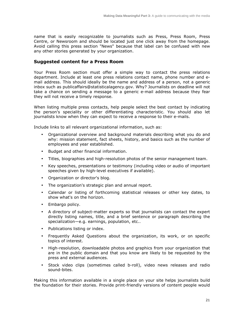name that is easily recognizable to journalists such as Press, Press Room, Press Centre, or Newsroom and should be located just one click away from the homepage. Avoid calling this press section "News" because that label can be confused with new any other stories generated by your organization.

### Suggested content for a Press Room

Your Press Room section must offer a simple way to contact the press relations department. Include at least one press relations contact name, phone number and email address. This should ideally be the name and address of a person, not a generic inbox such as publicaffairs@statisticalagency.gov. Why? Journalists on deadline will not take a chance on sending a message to a generic e-mail address because they fear they will not receive a timely response.

When listing multiple press contacts, help people select the best contact by indicating the person's speciality or other differentiating characteristic. You should also let journalists know when they can expect to receive a response to their e-mails.

Include links to all relevant organizational information, such as:

- Organizational overview and background materials describing what you do and why: mission statement, fact sheets, history, and basics such as the number of employees and year established.
- Budget and other financial information.
- Titles, biographies and high-resolution photos of the senior management team.
- Key speeches, presentations or testimony (including video or audio of important speeches given by high-level executives if available).
- Organization or director's blog.
- The organization's strategic plan and annual report.
- Calendar or listing of forthcoming statistical releases or other key dates, to show what's on the horizon.
- Embargo policy.
- A directory of subject-matter experts so that journalists can contact the expert directly listing names, title, and a brief sentence or paragraph describing the specialization—e.g. earnings, population, etc..
- Publications listing or index.
- Frequently Asked Questions about the organization, its work, or on specific topics of interest.
- High-resolution, downloadable photos and graphics from your organization that are in the public domain and that you know are likely to be requested by the press and external audiences.
- Stock video clips (sometimes called b-roll), video news releases and radio sound-bites.

Making this information available in a single place on your site helps journalists build the foundation for their stories. Provide print-friendly versions of content people would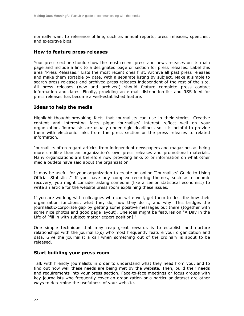normally want to reference offline, such as annual reports, press releases, speeches, and executive bios.

#### How to feature press releases

Your press section should show the most recent press and news releases on its main page and include a link to a designated page or section for press releases. Label this area "Press Releases." Lists the most recent ones first. Archive all past press releases and make them sortable by date, with a separate listing by subject. Make it simple to search press releases and archived press releases independent of the rest of the site. All press releases (new and archived) should feature complete press contact information and dates. Finally, providing an e-mail distribution list and RSS feed for press releases has become a well-established feature.

## Ideas to help the media

Highlight thought-provoking facts that journalists can use in their stories. Creative content and interesting facts pique journalists' interest reflect well on your organization. Journalists are usually under rigid deadlines, so it is helpful to provide them with electronic links from the press section or the press releases to related information.

Journalists often regard articles from independent newspapers and magazines as being more credible than an organization's own press releases and promotional materials. Many organizations are therefore now providing links to or information on what other media outlets have said about the organization.

It may be useful for your organization to create an online "Journalists' Guide to Using Official Statistics." If you have any complex recurring themes, such as economic recovery, you might consider asking someone (like a senior statistical economist) to write an article for the website press room explaining these issues.

If you are working with colleagues who can write well, get them to describe how their organization functions, what they do, how they do it, and why. This bridges the journalistic-corporate gap by getting some positive messages out there (together with some nice photos and good page layout). One idea might be features on "A Day in the Life of [fill in with subject-matter expert position]."

One simple technique that may reap great rewards is to establish and nurture relationships with the journalist(s) who most frequently feature your organization and data. Give the journalist a call when something out of the ordinary is about to be released.

#### Start building your press room

Talk with friendly journalists in order to understand what they need from you, and to find out how well these needs are being met by the website. Then, build their needs and requirements into your press section. Face-to-face meetings or focus groups with key journalists who frequently cover an organization or a particular dataset are other ways to determine the usefulness of your website.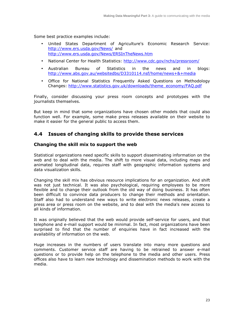Some best practice examples include:

- United States Department of Agriculture's Economic Research Service: http://www.ers.usda.gov/News/ and http://www.ers.usda.gov/News/ERSInTheNews.htm
- National Center for Health Statistics: http://www.cdc.gov/nchs/pressroom/
- Australian Bureau of Statistics in the news and in blogs: http://www.abs.gov.au/websitedbs/D3310114.nsf/home/news+&+media
- Office for National Statistics Frequently Asked Questions on Methodology Changes: http://www.statistics.gov.uk/downloads/theme\_economy/FAQ.pdf

Finally, consider discussing your press room concepts and prototypes with the journalists themselves.

But keep in mind that some organizations have chosen other models that could also function well. For example, some make press releases available on their website to make it easier for the general public to access them.

## 4.4 Issues of changing skills to provide these services

## Changing the skill mix to support the web

Statistical organizations need specific skills to support disseminating information on the web and to deal with the media. The shift to more visual data, including maps and animated longitudinal data, requires staff with geographic information systems and data visualization skills.

Changing the skill mix has obvious resource implications for an organization. And shift was not just technical. It was also psychological, requiring employees to be more flexible and to change their outlook from the old way of doing business. It has often been difficult to convince data producers to change their methods and orientation. Staff also had to understand new ways to write electronic news releases, create a press area or press room on the website, and to deal with the media's new access to all kinds of information.

It was originally believed that the web would provide self-service for users, and that telephone and e-mail support would be minimal. In fact, most organizations have been surprised to find that the number of enquiries have in fact increased with the availability of information on the web.

Huge increases in the numbers of users translate into many more questions and comments. Customer service staff are having to be retrained to answer e-mail questions or to provide help on the telephone to the media and other users. Press offices also have to learn new technology and dissemination methods to work with the media.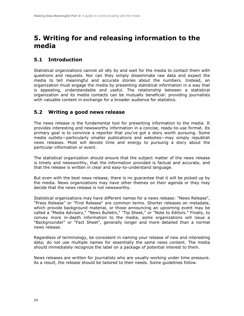## 5. Writing for and releasing information to the media

## 5.1 Introduction

Statistical organizations cannot sit idly by and wait for the media to contact them with questions and requests. Nor can they simply disseminate raw data and expect the media to tell meaningful and accurate stories about the numbers. Instead, an organization must engage the media by presenting statistical information in a way that is appealing, understandable and useful. The relationship between a statistical organization and its media contacts can be mutually beneficial: providing journalists with valuable content in exchange for a broader audience for statistics.

## 5.2 Writing a good news release

The news release is the fundamental tool for presenting information to the media. It provides interesting and newsworthy information in a concise, ready-to-use format. Its primary goal is to convince a reporter that you've got a story worth pursuing. Some media outlets—particularly smaller publications and websites—may simply republish news releases. Most will devote time and energy to pursuing a story about the particular information or event.

The statistical organization should ensure that the subject matter of the news release is timely and newsworthy, that the information provided is factual and accurate, and that the release is written in clear and easy-to-understand language.

But even with the best news release, there is no guarantee that it will be picked up by the media. News organizations may have other themes on their agenda or they may decide that the news release is not newsworthy.

Statistical organizations may have different names for a news release: "News Release", "Press Release" or "First Release" are common terms. Shorter releases on metadata, which provide background material, or those announcing an upcoming event may be called a "Media Advisory," "News Bulletin," "Tip Sheet," or "Note to Editors." Finally, to convey more in-depth information to the media, some organizations will issue a "Backgrounder" or "Fact Sheet", generally longer and more detailed than a normal news release.

Regardless of terminology, be consistent in naming your release of new and interesting data; do not use multiple names for essentially the same news content. The media should immediately recognize the label on a package of potential interest to them.

News releases are written for journalists who are usually working under time pressure. As a result, the release should be tailored to their needs. Some guidelines follow.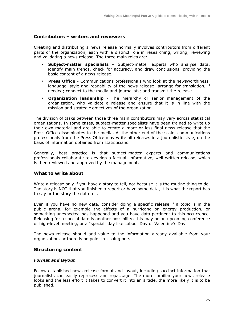## Contributors – writers and reviewers

Creating and distributing a news release normally involves contributors from different parts of the organization, each with a distinct role in researching, writing, reviewing and validating a news release. The three main roles are:

- **Subject-matter specialists** Subject-matter experts who analyse data, identify main trends, check for accuracy, and draw conclusions, providing the basic content of a news release.
- **Press Office -** Communications professionals who look at the newsworthiness, language, style and readability of the news release; arrange for translation, if needed; connect to the media and journalists; and transmit the release.
- **Organization leadership** The hierarchy or senior management of the organization, who validate a release and ensure that it is in line with the mission and strategic objectives of the organization.

The division of tasks between those three main contributors may vary across statistical organizations. In some cases, subject-matter specialists have been trained to write up their own material and are able to create a more or less final news release that the Press Office disseminates to the media. At the other end of the scale, communications professionals from the Press Office may write all releases in a journalistic style, on the basis of information obtained from statisticians.

Generally, best practice is that subject-matter experts and communications professionals collaborate to develop a factual, informative, well-written release, which is then reviewed and approved by the management.

#### What to write about

Write a release only if you have a story to tell, not because it is the routine thing to do. The story is NOT that you finished a report or have some data, it is what the report has to say or the story the data tell.

Even if you have no new data, consider doing a specific release if a topic is in the public arena, for example the effects of a hurricane on energy production, or something unexpected has happened and you have data pertinent to this occurrence. Releasing for a special date is another possibility; this may be an upcoming conference or high-level meeting, or a "special" day like Labour Day or Valentine's Day.

The news release should add value to the information already available from your organization, or there is no point in issuing one.

## Structuring content

#### Format and layout

Follow established news release format and layout, including succinct information that journalists can easily reprocess and repackage. The more familiar your news release looks and the less effort it takes to convert it into an article, the more likely it is to be published.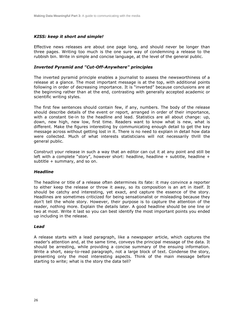#### KISS: keep it short and simple!

Effective news releases are about one page long, and should never be longer than three pages. Writing too much is the one sure way of condemning a release to the rubbish bin. Write in simple and concise language, at the level of the general public.

#### Inverted Pyramid and "Cut-Off-Anywhere" principles

The inverted pyramid principle enables a journalist to assess the newsworthiness of a release at a glance. The most important message is at the top, with additional points following in order of decreasing importance. It is "inverted" because conclusions are at the beginning rather than at the end, contrasting with generally accepted academic or scientific writing styles.

The first few sentences should contain few, if any, numbers. The body of the release should describe details of the event or report, arranged in order of their importance, with a constant tie-in to the headline and lead. Statistics are all about change: up, down, new high, new low, first time. Readers want to know what is new, what is different. Make the figures interesting by communicating enough detail to get the key message across without getting lost in it. There is no need to explain in detail how data were collected. Much of what interests statisticians will not necessarily thrill the general public.

Construct your release in such a way that an editor can cut it at any point and still be left with a complete "story", however short: headline, headline + subtitle, headline + subtitle + summary, and so on.

#### **Headline**

The headline or title of a release often determines its fate: it may convince a reporter to either keep the release or throw it away, so its composition is an art in itself. It should be catchy and interesting, yet exact, and capture the essence of the story. Headlines are sometimes criticized for being sensationalist or misleading because they don't tell the whole story. However, their purpose is to capture the attention of the reader, nothing more. Explain the details later. A good headline should be one line or two at most. Write it last so you can best identify the most important points you ended up including in the release.

#### Lead

A release starts with a lead paragraph, like a newspaper article, which captures the reader's attention and, at the same time, conveys the principal message of the data. It should be arresting, while providing a concise summary of the ensuing information. Write a short, easy-to-read paragraph, not a large block of text. Condense the story, presenting only the most interesting aspects. Think of the main message before starting to write; what is the story the data tell?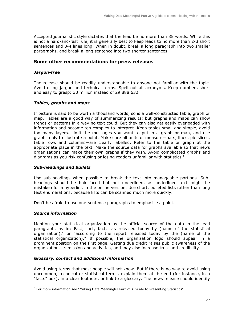Accepted journalistic style dictates that the lead be no more than 35 words. While this is not a hard-and-fast rule, it is generally best to keep leads to no more than 2-3 short sentences and 3-4 lines long. When in doubt, break a long paragraph into two smaller paragraphs, and break a long sentence into two shorter sentences.

### Some other recommendations for press releases

#### Jargon-free

The release should be readily understandable to anyone not familiar with the topic. Avoid using jargon and technical terms. Spell out all acronyms. Keep numbers short and easy to grasp: 30 million instead of 29 888 632.

#### Tables, graphs and maps

If picture is said to be worth a thousand words, so is a well-constructed table, graph or map. Tables are a good way of summarizing results; but graphs and maps can show trends or patterns in a way no text could. But they can also get easily overloaded with information and become too complex to interpret. Keep tables small and simple, avoid too many layers. Limit the messages you want to put in a graph or map, and use graphs only to illustrate a point. Make sure all units of measure—bars, lines, pie slices, table rows and columns—are clearly labelled. Refer to the table or graph at the appropriate place in the text. Make the source data for graphs available so that news organizations can make their own graphs if they wish. Avoid complicated graphs and diagrams as you risk confusing or losing readers unfamiliar with statistics. $8$ 

#### Sub-headings and bullets

Use sub-headings when possible to break the text into manageable portions. Subheadings should be bold-faced but not underlined, as underlined text might be mistaken for a hyperlink in the online version. Use short, bulleted lists rather than long text enumerations, because lists can be scanned much more quickly.

Don't be afraid to use one-sentence paragraphs to emphasize a point.

#### Source information

 $\overline{a}$ 

Mention your statistical organization as the official source of the data in the lead paragraph, as in: Fact, fact, fact, "as released today by (name of the statistical organization)," or "according to the report released today by the (name of the statistical organization)." If possible, the organization logo should appear in a prominent position on the first page. Getting due credit raises public awareness of the organization, its mission and activities, and may also increase trust and credibility.

#### Glossary, contact and additional information

Avoid using terms that most people will not know. But if there is no way to avoid using uncommon, technical or statistical terms, explain them at the end (for instance, in a "facts" box), in a clear footnote, or link to a glossary. The news release should identify

<sup>&</sup>lt;sup>8</sup> For more information see "Making Data Meaningful Part 2: A Guide to Presenting Statistics".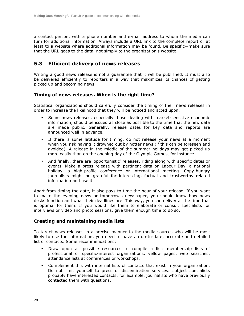a contact person, with a phone number and e-mail address to whom the media can turn for additional information. Always include a URL link to the complete report or at least to a website where additional information may be found. Be specific—make sure that the URL goes to the data, not simply to the organization's website.

## 5.3 Efficient delivery of news releases

Writing a good news release is not a guarantee that it will be published. It must also be delivered efficiently to reporters in a way that maximizes its chances of getting picked up and becoming news.

## Timing of news releases. When is the right time?

Statistical organizations should carefully consider the timing of their news releases in order to increase the likelihood that they will be noticed and acted upon.

- Some news releases, especially those dealing with market-sensitive economic information, should be issued as close as possible to the time that the new data are made public. Generally, release dates for key data and reports are announced well in advance.
- If there is some latitude for timing, do not release your news at a moment when you risk having it drowned out by hotter news (if this can be foreseen and avoided). A release in the middle of the summer holidays may get picked up more easily than on the opening day of the Olympic Games, for instance.
- And finally, there are 'opportunistic' releases, riding along with specific dates or events. Make a press release with pertinent data on Labour Day, a national holiday, a high-profile conference or international meeting. Copy-hungry journalists might be grateful for interesting, factual and trustworthy related information and use it.

Apart from timing the date, it also pays to time the hour of your release. If you want to make the evening news or tomorrow's newspaper, you should know how news desks function and what their deadlines are. This way, you can deliver at the time that is optimal for them. If you would like them to elaborate or consult specialists for interviews or video and photo sessions, give them enough time to do so.

## Creating and maintaining media lists

To target news releases in a precise manner to the media sources who will be most likely to use the information, you need to have an up-to-date, accurate and detailed list of contacts. Some recommendations:

- Draw upon all possible resources to compile a list: membership lists of professional or specific-interest organizations, yellow pages, web searches, attendance lists at conferences or workshops.
- Complement this with internal lists of contacts that exist in your organization. Do not limit yourself to press or dissemination services: subject specialists probably have interested contacts, for example, journalists who have previously contacted them with questions.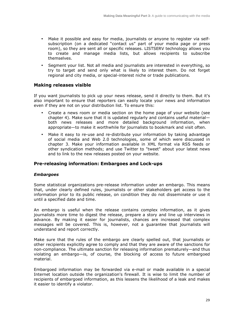- Make it possible and easy for media, journalists or anyone to register via selfsubscription (on a dedicated "contact us" part of your media page or press room), so they are sent all or specific releases. LISTSERV technology allows you to create and manage media lists, but allows recipients to subscribe themselves.
- Segment your list. Not all media and journalists are interested in everything, so try to target and send only what is likely to interest them. Do not forget regional and city media, or special-interest niche or trade publications.

## Making releases visible

If you want journalists to pick up your news release, send it directly to them. But it's also important to ensure that reporters can easily locate your news and information even if they are not on your distribution list. To ensure this:

- Create a news room or media section on the home page of your website (see chapter 4). Make sure that it is updated regularly and contains useful material both news releases and more detailed background information, when appropriate—to make it worthwhile for journalists to bookmark and visit often.
- Make it easy to re-use and re-distribute your information by taking advantage of social media and Web 2.0 technologies, some of which were discussed in chapter 3. Make your information available in XML format via RSS feeds or other syndication methods; and use Twitter to "tweet" about your latest news and to link to the new releases posted on your website.

## Pre-releasing information: Embargoes and Lock-ups

## Embargoes

Some statistical organizations pre-release information under an embargo. This means that, under clearly defined rules, journalists or other stakeholders get access to the information prior to its public release, on condition they do not disseminate or use it until a specified date and time.

An embargo is useful when the release contains complex information, as it gives journalists more time to digest the release, prepare a story and line up interviews in advance. By making it easier for journalists, chances are increased that complex messages will be covered. This is, however, not a guarantee that journalists will understand and report correctly.

Make sure that the rules of the embargo are clearly spelled out, that journalists or other recipients explicitly agree to comply and that they are aware of the sanctions for non-compliance. The ultimate sanction for releasing information prematurely—and thus violating an embargo—is, of course, the blocking of access to future embargoed material.

Embargoed information may be forwarded via e-mail or made available in a special Internet location outside the organization's firewall. It is wise to limit the number of recipients of embargoed information, as this lessens the likelihood of a leak and makes it easier to identify a violator.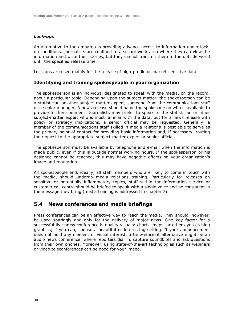#### Lock-ups

An alternative to the embargo is providing advance access to information under lockup conditions: journalists are confined to a secure work area where they can view the information and write their stories, but they cannot transmit them to the outside world until the specified release time.

Lock-ups are used mainly for the release of high-profile or market-sensitive data.

## Identifying and training spokespeople in your organization

The spokesperson is an individual designated to speak with the media, on the record, about a particular topic. Depending upon the subject matter, the spokesperson can be a statistician or other subject-matter expert, someone from the communications staff or a senior manager. A news release should name the spokesperson who is available to provide further comment. Journalists may prefer to speak to the statistician or other subject-matter expert who is most familiar with the data, but for a news release with policy or strategy implications, a senior official may be requested. Generally, a member of the communications staff skilled in media relations is best able to serve as the primary point of contact for providing basic information and, if necessary, routing the request to the appropriate subject-matter expert or senior official.

The spokesperson must be available by telephone and e-mail when the information is made public, even if this is outside normal working hours. If the spokesperson or his designee cannot be reached, this may have negative effects on your organization's image and reputation.

All spokespeople and, ideally, all staff members who are likely to come in touch with the media, should undergo media relations training. Particularly for releases on sensitive or potentially inflammatory topics, staff within the information service or customer call centre should be briefed to speak with a single voice and be consistent in the message they bring (media training is addressed in chapter 7).

## 5.4 News conferences and media briefings

Press conferences can be an effective way to reach the media. They should, however, be used sparingly and only for the delivery of major news. One key factor for a successful live press conference is quality visuals: charts, maps, or other eye-catching graphics; if you can, choose a beautiful or interesting setting. If your announcement does not hold any element of visual interest, a time-efficient alternative might be an audio news conference, where reporters dial in, capture soundbites and ask questions from their own phones. Moreover, using state-of-the-art technologies such as webinars or video teleconferences can be good for your image.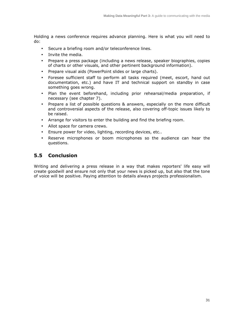Holding a news conference requires advance planning. Here is what you will need to do:

- Secure a briefing room and/or teleconference lines.
- Invite the media.
- Prepare a press package (including a news release, speaker biographies, copies of charts or other visuals, and other pertinent background information).
- Prepare visual aids (PowerPoint slides or large charts).
- Foresee sufficient staff to perform all tasks required (meet, escort, hand out documentation, etc.) and have IT and technical support on standby in case something goes wrong.
- Plan the event beforehand, including prior rehearsal/media preparation, if necessary (see chapter 7).
- Prepare a list of possible questions & answers, especially on the more difficult and controversial aspects of the release, also covering off-topic issues likely to be raised.
- Arrange for visitors to enter the building and find the briefing room.
- Allot space for camera crews.
- Ensure power for video, lighting, recording devices, etc..
- Reserve microphones or boom microphones so the audience can hear the questions.

## 5.5 Conclusion

Writing and delivering a press release in a way that makes reporters' life easy will create goodwill and ensure not only that your news is picked up, but also that the tone of voice will be positive. Paying attention to details always projects professionalism.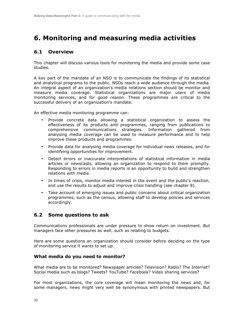## 6. Monitoring and measuring media activities

## 6.1 Overview

This chapter will discuss various tools for monitoring the media and provide some case studies.

A key part of the mandate of an NSO is to communicate the findings of its statistical and analytical programs to the public. NSOs reach a wide audience through the media. An integral aspect of an organization's media relations section should be monitor and measure media coverage. Statistical organizations are major users of media monitoring services, and for good reason. These programmes are critical to the successful delivery of an organization's mandate.

An effective media monitoring programme can:

- Provide concrete data allowing a statistical organization to assess the effectiveness of its products and programmes, ranging from publications to comprehensive communications strategies. Information gathered from analysing media coverage can be used to measure performance and to help improve these products and programmes.
- Provide data for analysing media coverage for individual news releases, and for identifying opportunities for improvement.
- Detect errors or inaccurate interpretations of statistical information in media articles or newscasts, allowing an organization to respond to them promptly. Responding to errors in media reports is an opportunity to build and strengthen relations with media.
- In times of crisis, monitor media interest in the event and the public's reaction, and use the results to adjust and improve crisis handling (see chapter 8).
- Take account of emerging issues and public concerns about critical organization programmes, such as the census, allowing staff to develop policies and services accordingly.

## 6.2 Some questions to ask

Communications professionals are under pressure to show return on investment. But managers face other pressures as well, such as relating to budgets.

Here are some questions an organization should consider before deciding on the type of monitoring service it wants to set up.

## What media do you need to monitor?

What media are to be monitored? Newspaper articles? Television? Radio? The Internet? Social media such as blogs? Tweets? YouTube? Facebook? Video sharing services?

For most organizations, the core coverage will mean monitoring the news and, for some managers, news might very well be synonymous with printed newspapers. But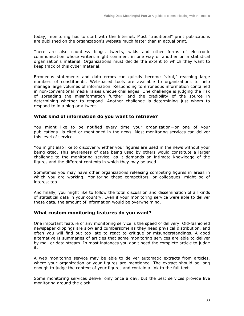today, monitoring has to start with the Internet. Most "traditional" print publications are published on the organization's website much faster than in actual print.

There are also countless blogs, tweets, wikis and other forms of electronic communication whose writers might comment in one way or another on a statistical organization's material. Organizations must decide the extent to which they want to keep track of this cyber material.

Erroneous statements and data errors can quickly become "viral," reaching large numbers of constituents. Web-based tools are available to organizations to help manage large volumes of information. Responding to erroneous information contained in non-conventional media raises unique challenges. One challenge is judging the risk of spreading the misinformation further, and the credibility of the source in determining whether to respond. Another challenge is determining just whom to respond to in a blog or a tweet.

## What kind of information do you want to retrieve?

You might like to be notified every time your organization—or one of your publications—is cited or mentioned in the news. Most monitoring services can deliver this level of service.

You might also like to discover whether your figures are used in the news without your being cited. This awareness of data being used by others would constitute a larger challenge to the monitoring service, as it demands an intimate knowledge of the figures and the different contexts in which they may be used.

Sometimes you may have other organizations releasing competing figures in areas in which you are working. Monitoring these competitors—or colleagues—might be of interest too.

And finally, you might like to follow the total discussion and dissemination of all kinds of statistical data in your country. Even if your monitoring service were able to deliver these data, the amount of information would be overwhelming.

## What custom monitoring features do you want?

One important feature of any monitoring service is the speed of delivery. Old-fashioned newspaper clippings are slow and cumbersome as they need physical distribution, and often you will find out too late to react to critique or misunderstandings. A good alternative is summaries of articles that some monitoring services are able to deliver by mail or data stream. In most instances you don't need the complete article to judge it.

A web monitoring service may be able to deliver automatic extracts from articles, where your organization or your figures are mentioned. The extract should be long enough to judge the context of your figures and contain a link to the full text.

Some monitoring services deliver only once a day, but the best services provide live monitoring around the clock.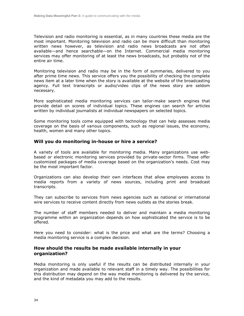Television and radio monitoring is essential, as in many countries these media are the most important. Monitoring television and radio can be more difficult than monitoring written news however, as television and radio news broadcasts are not often available—and hence searchable—on the Internet. Commercial media monitoring services may offer monitoring of at least the news broadcasts, but probably not of the entire air time.

Monitoring television and radio may be in the form of summaries, delivered to you after prime time news. This service offers you the possibility of checking the complete news item at a later time when the story is available at the website of the broadcasting agency. Full text transcripts or audio/video clips of the news story are seldom necessary.

More sophisticated media monitoring services can tailor-make search engines that provide detail on scores of individual topics. These engines can search for articles written by individual journalists at individual newspapers on selected topics.

Some monitoring tools come equipped with technology that can help assesses media coverage on the basis of various components, such as regional issues, the economy, health, women and many other topics.

## Will you do monitoring in-house or hire a service?

A variety of tools are available for monitoring media. Many organizations use webbased or electronic monitoring services provided by private-sector firms. These offer customized packages of media coverage based on the organization's needs. Cost may be the most important factor.

Organizations can also develop their own interfaces that allow employees access to media reports from a variety of news sources, including print and broadcast transcripts.

They can subscribe to services from news agencies such as national or international wire services to receive content directly from news outlets as the stories break.

The number of staff members needed to deliver and maintain a media monitoring programme within an organization depends on how sophisticated the service is to be offered.

Here you need to consider: what is the price and what are the terms? Choosing a media monitoring service is a complex decision.

## How should the results be made available internally in your organization?

Media monitoring is only useful if the results can be distributed internally in your organization and made available to relevant staff in a timely way. The possibilities for this distribution may depend on the way media monitoring is delivered by the service, and the kind of metadata you may add to the results.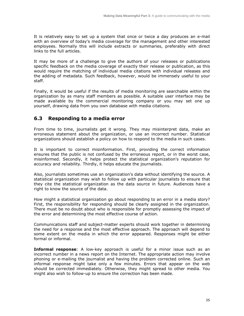It is relatively easy to set up a system that once or twice a day produces an e-mail with an overview of today's media coverage for the management and other interested employees. Normally this will include extracts or summaries, preferably with direct links to the full articles.

It may be more of a challenge to give the authors of your releases or publications specific feedback on the media coverage of exactly their release or publication, as this would require the matching of individual media citations with individual releases and the adding of metadata. Such feedback, however, would be immensely useful to your staff.

Finally, it would be useful if the results of media monitoring are searchable within the organization by as many staff members as possible. A suitable user interface may be made available by the commercial monitoring company or you may set one up yourself, drawing data from you own database with media citations.

## 6.3 Responding to a media error

From time to time, journalists get it wrong. They may misinterpret data, make an erroneous statement about the organization, or use an incorrect number. Statistical organizations should establish a policy on how to respond to the media in such cases.

It is important to correct misinformation. First, providing the correct information ensures that the public is not confused by the erroneous report, or in the worst case, misinformed. Secondly, it helps protect the statistical organization's reputation for accuracy and reliability. Thirdly, it helps educate the journalists.

Also, journalists sometimes use an organization's data without identifying the source. A statistical organization may wish to follow up with particular journalists to ensure that they cite the statistical organization as the data source in future. Audiences have a right to know the source of the data.

How might a statistical organization go about responding to an error in a media story? First, the responsibility for responding should be clearly assigned in the organization. There must be no doubt about who is responsible for promptly assessing the impact of the error and determining the most effective course of action.

Communications staff and subject-matter experts should work together in determining the need for a response and the most effective approach. The approach will depend to some extent on the media in which the error appeared. Responses might be either formal or informal.

**Informal response**: A low-key approach is useful for a minor issue such as an incorrect number in a news report on the Internet. The appropriate action may involve phoning or e-mailing the journalist and having the problem corrected online. Such an informal response might take only a few minutes. Errors that appear on the web should be corrected immediately. Otherwise, they might spread to other media. You might also wish to follow-up to ensure the correction has been made.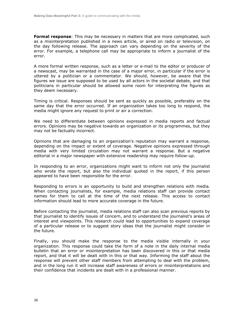**Formal response:** This may be necessary in matters that are more complicated, such as a misinterpretation published in a news article, or aired on radio or television, on the day following release. The approach can vary depending on the severity of the error. For example, a telephone call may be appropriate to inform a journalist of the error.

A more formal written response, such as a letter or e-mail to the editor or producer of a newscast, may be warranted in the case of a major error, in particular if the error is uttered by a politician or a commentator. We should, however, be aware that the figures we issue are supposed to be used by all actors in the societal debate, and that politicians in particular should be allowed some room for interpreting the figures as they deem necessary.

Timing is critical. Responses should be sent as quickly as possible, preferably on the same day that the error occurred. If an organization takes too long to respond, the media might ignore any request to print or air a correction.

We need to differentiate between opinions expressed in media reports and factual errors. Opinions may be negative towards an organization or its programmes, but they may not be factually incorrect.

Opinions that are damaging to an organization's reputation may warrant a response, depending on the impact or extent of coverage. Negative opinions expressed through media with very limited circulation may not warrant a response. But a negative editorial in a major newspaper with extensive readership may require follow-up.

In responding to an error, organizations might want to inform not only the journalist who wrote the report, but also the individual quoted in the report, if this person appeared to have been responsible for the error.

Responding to errors is an opportunity to build and strengthen relations with media. When contacting journalists, for example, media relations staff can provide contact names for them to call at the time of the next release. This access to contact information should lead to more accurate coverage in the future.

Before contacting the journalist, media relations staff can also scan previous reports by that journalist to identify issues of concern, and to understand the journalist's areas of interest and viewpoints. This research could lead to opportunities to expand coverage of a particular release or to suggest story ideas that the journalist might consider in the future.

Finally, you should make the response to the media visible internally in your organization. This response could take the form of a note in the daily internal media bulletin that an error or misinterpretation has been discovered in this or that media report, and that it will be dealt with in this or that way. Informing the staff about the response will prevent other staff members from attempting to deal with the problem, and in the long run it will increase staff awareness of errors or misinterpretations and their confidence that incidents are dealt with in a professional manner.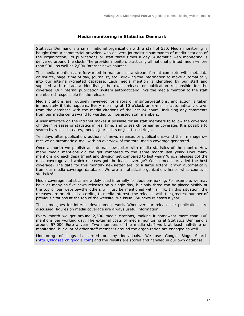#### Media monitoring in Statistics Denmark

Statistics Denmark is a small national organization with a staff of 550. Media monitoring is bought from a commercial provider, who delivers journalistic summaries of media citations of the organization, its publications or staff three times a day. Automatic web monitoring is delivered around the clock. The provider monitors practically all national printed media—more than 900—as well as 2,000 Internet news sources.

The media mentions are forwarded in mail and data stream format complete with metadata on source, page, time of day, journalist, etc., allowing the information to move automatically into our internally-created database. Each media mention is identified by our staff and supplied with metadata identifying the exact release or publication responsible for the coverage. Our internal publication system automatically links the media mention to the staff member(s) responsible for the release.

Media citations are routinely reviewed for errors or misinterpretations, and action is taken immediately if this happens. Every morning at 10 o'clock an e-mail is automatically drawn from the database with the media citations of the last 24 hours—including any comments from our media centre—and forwarded to interested staff members.

A user interface on the intranet makes it possible for all staff members to follow the coverage of "their" releases or statistics in real time, and to search for earlier coverage. It is possible to search by releases, dates, media, journalists or just text strings.

Ten days after publication, authors of news releases or publications—and their managers receive an automatic e-mail with an overview of the total media coverage generated.

Once a month we publish an internal newsletter with media statistics of the month: How many media mentions did we get compared to the same month last year? How many mentions did each department and division get compared to last year? Which releases got the most coverage and which releases got the least coverage? Which media provided the best coverage? The data for this monthly newsletter are, to a large extent, drawn automatically from our media coverage database. We are a statistical organization, hence what counts is statistics!

Media coverage statistics are widely used internally for decision-making. For example, we may have as many as five news releases on a single day, but only three can be placed visibly at the top of our website—the others will just be mentioned with a link. In this situation, the releases are prioritized according to media interest, the releases with the greatest number of previous citations at the top of the website. We issue 550 news releases a year.

The same goes for internal development work. Whenever our releases or publications are discussed, figures on media coverage are always useful information.

Every month we get around 2,500 media citations, making it somewhat more than 100 mentions per working day. The external costs of media monitoring at Statistics Denmark is around 57,000 Euro a year. Two members of the media staff work at least half-time on monitoring, but a lot of other staff members around the organization are engaged as well.

Monitoring of blogs is carried out by individuals. We use Google Blogs Search (http://blogsearch.google.com) and the results are stored and handled in our own database.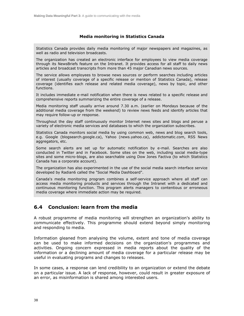#### Media monitoring in Statistics Canada

Statistics Canada provides daily media monitoring of major newspapers and magazines, as well as radio and television broadcasts.

The organization has created an electronic interface for employees to view media coverage through its NewsBriefs feature on the Intranet. It provides access for all staff to daily news articles and broadcast transcripts from more than 45 major Canadian news sources.

The service allows employees to browse news sources or perform searches including articles of interest (usually coverage of a specific release or mention of Statistics Canada), release coverage (identifies each release and related media coverage), news by topic, and other functions.

It includes immediate e-mail notification when there is news related to a specific release and comprehensive reports summarizing the entire coverage of a release.

Media monitoring staff usually arrive around 7.30 a.m. (earlier on Mondays because of the additional media coverage from the weekend) to review news feeds and identify articles that may require follow-up or response.

Throughout the day staff continuously monitor Internet news sites and blogs and peruse a variety of electronic media services and databases to which the organization subscribes.

Statistics Canada monitors social media by using common web, news and blog search tools, e.g. Google (blogsearch.google.ca), Yahoo (news.yahoo.ca), addictomatic.com, RSS News aggregators, etc.

Some search alerts are set up for automatic notification by e-mail. Searches are also conducted in Twitter and in Facebook. Some sites on the web, including social media-type sites and some micro-blogs, are also searchable using Dow Jones Factiva (to which Statistics Canada has a corporate account).

The organization has also experimented in the use of the social media search interface service developed by Radian6 called the "Social Media Dashboard".

Canada's media monitoring program combines a self-service approach where all staff can access media monitoring products and services through the Intranet with a dedicated and continuous monitoring function. This program alerts managers to contentious or erroneous media coverage where immediate action may be required.

## 6.4 Conclusion: learn from the media

A robust programme of media monitoring will strengthen an organization's ability to communicate effectively. This programme should extend beyond simply monitoring and responding to media.

Information gleaned from analysing the volume, extent and tone of media coverage can be used to make informed decisions on the organization's programmes and activities. Ongoing concern expressed in media reports about the quality of the information or a declining amount of media coverage for a particular release may be useful in evaluating programs and changes to releases.

In some cases, a response can lend credibility to an organization or extend the debate on a particular issue. A lack of response, however, could result in greater exposure of an error, as misinformation is shared among interested users.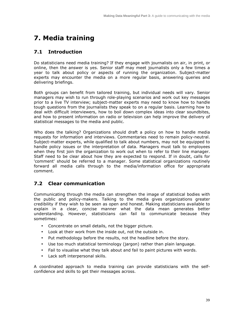## 7. Media training

## 7.1 Introduction

Do statisticians need media training? If they engage with journalists on air, in print, or online, then the answer is yes. Senior staff may meet journalists only a few times a year to talk about policy or aspects of running the organization. Subject-matter experts may encounter the media on a more regular basis, answering queries and delivering briefings.

Both groups can benefit from tailored training, but individual needs will vary. Senior managers may wish to run through role-playing scenarios and work out key messages prior to a live TV interview; subject-matter experts may need to know how to handle tough questions from the journalists they speak to on a regular basis. Learning how to deal with difficult interviewers, how to boil down complex ideas into clear soundbites, and how to present information on radio or television can help improve the delivery of statistical messages to the media and public.

Who does the talking? Organizations should draft a policy on how to handle media requests for information and interviews. Commentaries need to remain policy-neutral. Subject-matter experts, while qualified to talk about numbers, may not be equipped to handle policy issues or the interpretation of data. Managers must talk to employees when they first join the organization to work out when to refer to their line manager. Staff need to be clear about how they are expected to respond. If in doubt, calls for 'comment' should be referred to a manager. Some statistical organizations routinely forward all media calls through to the media/information office for appropriate comment.

## 7.2 Clear communication

Communicating through the media can strengthen the image of statistical bodies with the public and policy-makers. Talking to the media gives organizations greater credibility if they wish to be seen as open and honest. Making statisticians available to explain in a clear, concise manner what the data mean generates better understanding. However, statisticians can fail to communicate because they sometimes:

- Concentrate on small details, not the bigger picture.
- Look at their work from the inside out, not the outside in.
- Put methodology before the results, not the headline before the story.
- Use too much statistical terminology (jargon) rather than plain language.
- Fail to visualise what they talk about and fail to paint pictures with words.
- Lack soft interpersonal skills.

A coordinated approach to media training can provide statisticians with the selfconfidence and skills to get their messages across.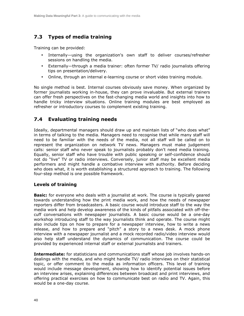## 7.3 Types of media training

Training can be provided:

- Internally—using the organization's own staff to deliver courses/refresher sessions on handling the media.
- Externally—through a media trainer: often former TV/ radio journalists offering tips on presentation/delivery.
- Online, through an internal e-learning course or short video training module.

No single method is best. Internal courses obviously save money. When organized by former journalists working in-house, they can prove invaluable. But external trainers can offer fresh perspectives on the fast-changing media world and insights into how to handle tricky interview situations. Online training modules are best employed as refresher or introductory courses to complement existing training.

## 7.4 Evaluating training needs

Ideally, departmental managers should draw up and maintain lists of "who does what" in terms of talking to the media. Managers need to recognise that while many staff will need to be familiar with the needs of the media, not all staff will be called on to represent the organization on network TV news. Managers must make judgement calls: senior staff who never speak to journalists probably don't need media training. Equally, senior staff who have trouble with public speaking or self-confidence should not do "live" TV or radio interviews. Conversely, junior staff may be excellent media performers and might handle a combative interview with authority. Before deciding who does what, it is worth establishing a structured approach to training. The following four-step method is one possible framework.

## Levels of training

**Basic:** for everyone who deals with a journalist at work. The course is typically geared towards understanding how the print media work, and how the needs of newspaper reporters differ from broadcasters. A basic course would introduce staff to the way the media work and help develop awareness of the kinds of pitfalls associated with off-thecuff conversations with newspaper journalists. A basic course would be a one-day workshop introducing staff to the way journalists think and operate. The course might also include tips on how to prepare for a newspaper interview, how to write a news release, and how to prepare and "pitch" a story to a news desk. A mock phone interview with a newspaper journalist and a mock recorded radio/video interview would also help staff understand the dynamics of communication. The course could be provided by experienced internal staff or external journalists and trainers.

Intermediate: for statisticians and communications staff whose job involves hands-on dealings with the media, and who might handle TV/ radio interviews on their statistical topic, or offer comment to the media as information officers. This level of training would include message development, showing how to identify potential issues before an interview arises, explaining differences between broadcast and print interviews, and offering practical exercises on how to communicate best on radio and TV. Again, this would be a one-day course.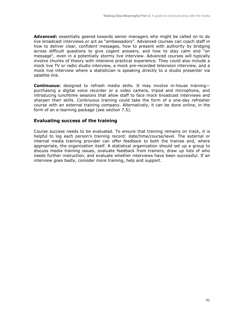Advanced: essentially geared towards senior managers who might be called on to do live broadcast interviews or act as "ambassadors". Advanced courses can coach staff in how to deliver clear, confident messages, how to present with authority by bridging across difficult questions to give cogent answers, and how to stay calm and "on message", even in a potentially stormy live interview. Advanced courses will typically involve chunks of theory with intensive practical experience. They could also include a mock live TV or radio studio interview, a mock pre-recorded television interview, and a mock live interview where a statistician is speaking directly to a studio presenter via satellite link.

Continuous: designed to refresh media skills. It may involve in-house trainingpurchasing a digital voice recorder or a video camera, tripod and microphone, and introducing lunchtime sessions that allow staff to face mock broadcast interviews and sharpen their skills. Continuous training could take the form of a one-day refresher course with an external training company. Alternatively, it can be done online, in the form of an e-learning package (see section 7.5).

#### Evaluating success of the training

Course success needs to be evaluated. To ensure that training remains on track, it is helpful to log each person's training record: date/time/course/level. The external or internal media training provider can offer feedback to both the trainee and, where appropriate, the organization itself. A statistical organization should set up a group to discuss media training issues, evaluate feedback from trainers, draw up lists of who needs further instruction, and evaluate whether interviews have been successful. If an interview goes badly, consider more training, help and support.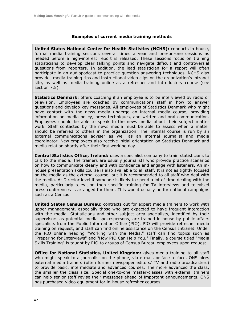#### Examples of current media training methods

United States National Center for Health Statistics (NCHS): conducts in-house, formal media training sessions several times a year and one-on-one sessions as needed before a high-interest report is released. These sessions focus on training statisticians to develop clear talking points and navigate difficult and controversial questions from reporters. In addition, the lead statistician for a report will often participate in an audiopodcast to practice question-answering techniques. NCHS also provides media training tips and instructional video clips on the organization's intranet site, as well as media training online as a refresher and introductory course (see section 7.5).

**Statistics Denmark:** offers coaching if an employee is to be interviewed by radio or television. Employees are coached by communications staff in how to answer questions and develop key messages. All employees of Statistics Denmark who might have contact with the news media undergo an internal media course, providing information on media policy, press techniques, and written and oral communication. Employees should be able to speak to the news media about their subject matter work. Staff contacted by the news media must be able to assess when a matter should be referred to others in the organization. The internal course is run by an external communications adviser as well as an internal journalist and media coordinator. New employees also receive initial orientation on Statistics Denmark and media relation shortly after their first working day.

Central Statistics Office, Ireland: uses a specialist company to train statisticians to talk to the media. The trainers are usually journalists who provide practice scenarios on how to communicate clearly and with confidence and engage with listeners. An inhouse presentation skills course is also available to all staff. It is not as tightly focused on the media as the external course, but it is recommended to all staff who deal with the media. At Director level if someone is likely to spend a lot of time dealing with the media, particularly television then specific training for TV interviews and televised press conferences is arranged for them. This would usually be for national campaigns such as a Census.

**United States Census Bureau:** contracts out for expert media trainers to work with upper management, especially those who are expected to have frequent interaction with the media. Statisticians and other subject area specialists, identified by their supervisors as potential media spokespersons, are trained in-house by public affairs specialists from the Public Information Office (PIO). PIO will provide refresher media training on request, and staff can find online assistance on the Census Intranet. Under the PIO online heading "Working with the Media," staff can find topics such as "Preparing for Interviews" and "How PIO Can Help You." Finally, a course titled "Media Skills Training" is taught by PIO to groups of Census Bureau employees upon request.

**Office for National Statistics, United Kingdom:** gives media training to all staff who might speak to a journalist on the phone, via e-mail, or face to face. ONS hires external media trainers (often former newspaper editors/ TV and radio broadcasters) to provide basic, intermediate and advanced courses. The more advanced the class, the smaller the class size. Special one-to-one master-classes with external trainers can help senior staff revise their messages ahead of important announcements. ONS has purchased video equipment for in-house refresher courses.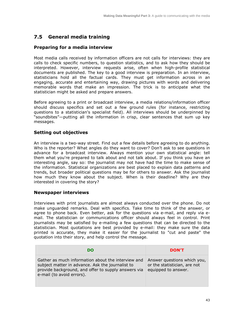## 7.5 General media training

## Preparing for a media interview

Most media calls received by information officers are not calls for interviews: they are calls to check specific numbers, to question statistics, and to ask how they should be interpreted. However, interview requests arise, often when high-profile statistical documents are published. The key to a good interview is preparation. In an interview, statisticians hold all the factual cards. They must get information across in an engaging, accurate and entertaining way, drawing pictures with words and delivering memorable words that make an impression. The trick is to anticipate what the statistician might be asked and prepare answers.

Before agreeing to a print or broadcast interview, a media relations/information officer should discuss specifics and set out a few ground rules (for instance, restricting questions to a statistician's specialist field). All interviews should be underpinned by "soundbites"—putting all the information in crisp, clear sentences that sum up key messages.

## Setting out objectives

An interview is a two-way street. Find out a few details before agreeing to do anything. Who is the reporter? What angles do they want to cover? Don't ask to see questions in advance for a broadcast interview. Always mention your own statistical angle: tell them what you're prepared to talk about and not talk about. If you think you have an interesting angle, say so: the journalist may not have had the time to make sense of the information. Statistical organizations are best placed to explain data patterns and trends, but broader political questions may be for others to answer. Ask the journalist how much they know about the subject. When is their deadline? Why are they interested in covering the story?

## Newspaper interviews

Interviews with print journalists are almost always conducted over the phone. Do not make unguarded remarks. Deal with specifics. Take time to think of the answer, or agree to phone back. Even better, ask for the questions via e-mail, and reply via email. The statistician or communications officer should always feel in control. Print journalists may be satisfied by e-mailing a few questions that can be directed to the statistician. Most quotations are best provided by e-mail: they make sure the data printed is accurate, they make it easier for the journalist to "cut and paste" the quotation into their story, and help control the message.

| DO                                                                                                                                                                                         | <b>DON'T</b>                                                                       |
|--------------------------------------------------------------------------------------------------------------------------------------------------------------------------------------------|------------------------------------------------------------------------------------|
| Gather as much information about the interview and<br>subject matter in advance. Ask the journalist to<br>provide background, and offer to supply answers via<br>e-mail (to avoid errors). | Answer questions which you,<br>or the statistician, are not<br>equipped to answer. |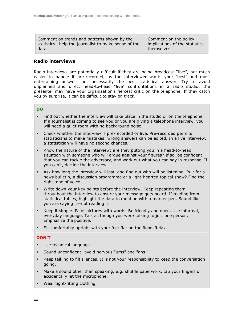## Radio interviews

Radio interviews are potentially difficult if they are being broadcast "live", but much easier to handle if pre-recorded, as the interviewer wants your 'best' and most entertaining answer: not necessarily the best statistical answer. Try to avoid unplanned and direct head-to-head "live" confrontations in a radio studio: the presenter may have your organization's fiercest critic on the telephone. If they catch you by surprise, it can be difficult to stay on track.

#### DO

- Find out whether the interview will take place in the studio or on the telephone. If a journalist is coming to see you or you are giving a telephone interview, you will need a quiet room with no background noise.
- Check whether the interview is pre-recorded or live. Pre-recorded permits statisticians to make mistakes: wrong answers can be edited. In a live interview, a statistician will have no second chances.
- Know the nature of the interview: are they putting you in a head-to-head situation with someone who will argue against your figures? If so, be confident that you can tackle the adversary, and work out what you can say in response. If you can't, decline the interview.
- Ask how long the interview will last, and find out who will be listening. Is it for a news bulletin, a discussion programme or a light-hearted topical show? Find the right tone of voice.
- Write down your key points before the interview. Keep repeating them throughout the interview to ensure your message gets heard. If reading from statistical tables, highlight the data to mention with a marker pen. Sound like you are saying it—not reading it.
- Keep it simple. Paint pictures with words. Be friendly and open. Use informal, everyday language. Talk as though you were talking to just one person. Emphasize the positive.
- Sit comfortably upright with your feet flat on the floor. Relax.

#### DON'T

- Use technical language.
- Sound unconfident: avoid nervous "ums" and "ahs."
- Keep talking to fill silences. It is not your responsibility to keep the conversation going.
- Make a sound other than speaking, e.g. shuffle paperwork, tap your fingers or accidentally hit the microphone.
- Wear tight-fitting clothing.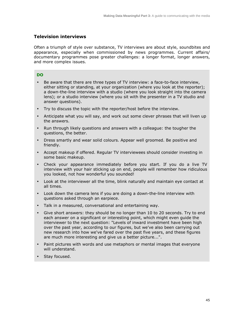## Television interviews

Often a triumph of style over substance, TV interviews are about style, soundbites and appearance, especially when commissioned by news programmes. Current affairs/ documentary programmes pose greater challenges: a longer format, longer answers, and more complex issues.

#### DO

- Be aware that there are three types of TV interview: a face-to-face interview, either sitting or standing, at your organization (where you look at the reporter); a down-the-line interview with a studio (where you look straight into the camera lens); or a studio interview (where you sit with the presenter in a TV studio and answer questions).
- Try to discuss the topic with the reporter/host before the interview.
- Anticipate what you will say, and work out some clever phrases that will liven up the answers.
- Run through likely questions and answers with a colleague: the tougher the questions, the better.
- Dress smartly and wear solid colours. Appear well groomed. Be positive and friendly.
- Accept makeup if offered. Regular TV interviewees should consider investing in some basic makeup.
- Check your appearance immediately before you start. If you do a live TV interview with your hair sticking up on end, people will remember how ridiculous you looked, not how wonderful you sounded!
- Look at the interviewer all the time, blink naturally and maintain eye contact at all times.
- Look down the camera lens if you are doing a down-the-line interview with questions asked through an earpiece.
- Talk in a measured, conversational and entertaining way.
- Give short answers: they should be no longer than 10 to 20 seconds. Try to end each answer on a significant or interesting point, which might even guide the interviewer to the next question: "Levels of inward investment have been high over the past year, according to our figures, but we've also been carrying out new research into how we've fared over the past five years, and these figures are much more interesting and give us a better picture...".
- Paint pictures with words and use metaphors or mental images that everyone will understand.
- Stay focused.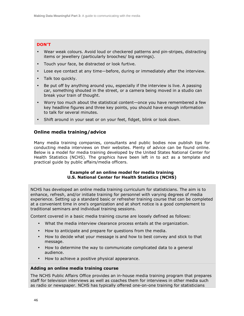#### DON'T

- Wear weak colours. Avoid loud or checkered patterns and pin-stripes, distracting items or jewellery (particularly brooches/ big earrings).
- Touch your face, be distracted or look furtive.
- Lose eye contact at any time—before, during or immediately after the interview.
- Talk too quickly.
- Be put off by anything around you, especially if the interview is live. A passing car, something shouted in the street, or a camera being moved in a studio can break your train of thought.
- Worry too much about the statistical content—once you have remembered a few key headline figures and three key points, you should have enough information to talk for several minutes.
- Shift around in your seat or on your feet, fidget, blink or look down.

#### Online media training/advice

Many media training companies, consultants and public bodies now publish tips for conducting media interviews on their websites. Plenty of advice can be found online. Below is a model for media training developed by the United States National Center for Health Statistics (NCHS). The graphics have been left in to act as a template and practical guide by public affairs/media officers.

#### Example of an online model for media training U.S. National Center for Health Statistics (NCHS)

NCHS has developed an online media training curriculum for statisticians. The aim is to enhance, refresh, and/or initiate training for personnel with varying degrees of media experience. Setting up a standard basic or refresher training course that can be completed at a convenient time in one's organization and at short notice is a good complement to traditional seminars and individual training sessions.

Content covered in a basic media training course are loosely defined as follows:

- What the media interview clearance process entails at the organization.
- How to anticipate and prepare for questions from the media.
- How to decide what your message is and how to best convey and stick to that message.
- How to determine the way to communicate complicated data to a general audience.
- How to achieve a positive physical appearance.

#### Adding an online media training course

The NCHS Public Affairs Office provides an in-house media training program that prepares staff for television interviews as well as coaches them for interviews in other media such as radio or newspaper. NCHS has typically offered one-on-one training for statisticians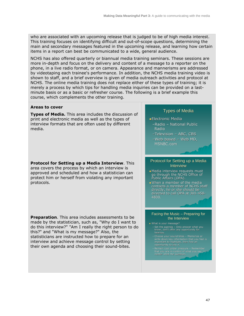who are associated with an upcoming release that is judged to be of high media interest. This training focuses on identifying difficult and out-of-scope questions, determining the main and secondary messages featured in the upcoming release, and learning how certain items in a report can best be communicated to a wide, general audience.

NCHS has also offered quarterly or biannual media training seminars. These sessions are more in-depth and focus on the delivery and content of a message to a reporter on the phone, in a live radio format, or on camera. Appearance and mannerisms are addressed by videotaping each trainee's performance. In addition, the NCHS media training video is shown to staff, and a brief overview is given of media outreach activities and protocol at NCHS. The online media training does not replace either of these types of training; it is merely a process by which tips for handling media inquiries can be provided on a lastminute basis or as a basic or refresher course. The following is a brief example this course, which complements the other training.

#### Areas to cover

Types of Media. This area includes the discussion of print and electronic media as well as the types of interview formats that are often used by different media.

Protocol for Setting up a Media Interview. This area covers the process by which an interview is approved and scheduled and how a statistician can protect him or herself from violating any important protocols.

**Preparation.** This area includes assessments to be made by the statistician, such as, "Why do I want to do this interview?" "Am I really the right person to do this?" and "What is my message?" Also, the statisticians are instructed how to prepare for an interview and achieve message control by setting their own agenda and choosing their sound-bites.

#### Types of Media

- Electronic Media
	- –Radio National Public Radio
- –Television ABC, CBS
- –Web-based Web MD, MSNBC.com

#### Protocol for Setting up a Media Interview

- Media interview requests must go through the NCHS Office of Public Affairs (OPA).
- When a member of the media contacts a member of NCHS staff directly, he or she should be directed to call OPA at 301-458- 4800.

#### Facing the Music – Preparing for the Interview

- What is your message? – Set the agenda – Only answer what you know; don't offer any opportunity for hearsay.
	- Choose your sound bites Memorize or opportunity to say it.
	- that you are in control of what you say, no matter what the question.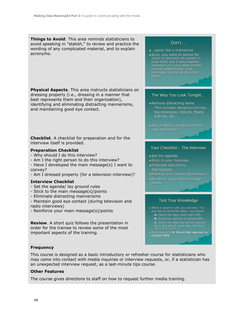Things to Avoid. This area reminds statisticians to avoid speaking in "statish," to review and practice the wording of any complicated material, and to explain acronyms.

Physical Aspects. This area instructs statisticians on dressing properly (i.e., dressing in a manner that best represents them and their organization), identifying and eliminating distracting mannerisms, and maintaining good eye contact.

Checklist. A checklist for preparation and for the interview itself is provided.

#### Preparation Checklist

- Why should I do this interview?
- Am I the right person to do this interview?
- Have I developed the main message(s) I want to convey?
- Am I dressed properly (for a television interview)?

#### Interview Checklist

- Set the agenda/ lay ground rules
- Stick to the main message(s)/points
- Eliminate distracting mannerisms

- Maintain good eye contact (during television and radio interviews)

- Reinforce your main message(s)/points

**Review.** A short quiz follows the presentation in order for the trainee to review some of the most important aspects of the training.

#### Don't…

- …speak like a statistician.
- Sure, you went to school for years to become an expert in your field, but if you explain statistics in a way that people cannot understand, your message will be dead in the water.

#### The Way You Look Tonight…

- Remove distracting items
- –This includes dangling earrings, big necklaces, ribbons, flashy scarves, etc.
- Any of those can distract from your message!!!

#### Your Checklist – The Interview

- Set the agenda.
- Stick to your message.
- Eliminate distracting mannerisms.
- Maintain eye contact (television).
- Reinforce your main message points.

#### Test Your Knowledge

- When a reporter calls you and says, "I'd just like to clarify this data," you should…
	- A. Clarify the data, then notify OPA.
	- **B.** Direct the reporter to contact OPA. – C. Clarify the data, but tell the reporter
	- he or she cannot quote you until he or she talks to OPA.

 $\bullet$  Right answer is **B. Direct the reporter to** contact OPA.

#### Frequency

This course is designed as a basic introductory or refresher course for statisticians who may come into contact with media inquiries or interview requests, or, if a statistician has an unexpected interview request, as a last-minute tips course.

#### Other Features

The course gives directions to staff on how to request further media training.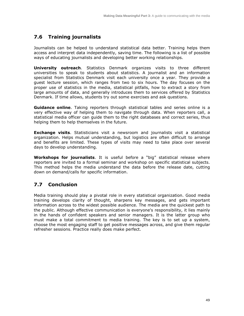## 7.6 Training journalists

Journalists can be helped to understand statistical data better. Training helps them access and interpret data independently, saving time. The following is a list of possible ways of educating journalists and developing better working relationships.

University outreach. Statistics Denmark organizes visits to three different universities to speak to students about statistics. A journalist and an information specialist from Statistics Denmark visit each university once a year. They provide a guest lecture session, which ranges from two to six hours. The day focuses on the proper use of statistics in the media, statistical pitfalls, how to extract a story from large amounts of data, and generally introduces them to services offered by Statistics Denmark. If time allows, students try out some exercises and ask questions.

Guidance online. Taking reporters through statistical tables and series online is a very effective way of helping them to navigate through data. When reporters call, a statistical media officer can guide them to the right databases and correct series, thus helping them to help themselves in the future.

**Exchange visits.** Statisticians visit a newsroom and journalists visit a statistical organization. Helps mutual understanding, but logistics are often difficult to arrange and benefits are limited. These types of visits may need to take place over several days to develop understanding.

Workshops for journalists. It is useful before a "big" statistical release where reporters are invited to a formal seminar and workshop on specific statistical subjects. This method helps the media understand the data before the release date, cutting down on demand/calls for specific information.

## 7.7 Conclusion

Media training should play a pivotal role in every statistical organization. Good media training develops clarity of thought, sharpens key messages, and gets important information across to the widest possible audience. The media are the quickest path to the public. Although effective communication is everyone's responsibility, it lies mainly in the hands of confident speakers and senior managers. It is the latter group who must make a total commitment to media training. The key is to set up a system, choose the most engaging staff to get positive messages across, and give them regular refresher sessions. Practice really does make perfect.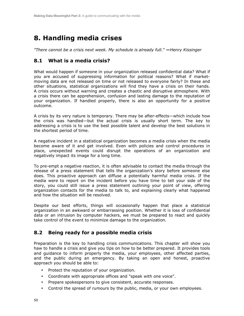## 8. Handling media crises

"There cannot be a crisis next week. My schedule is already full." —Henry Kissinger

## 8.1 What is a media crisis?

What would happen if someone in your organization released confidential data? What if you are accused of suppressing information for political reasons? What if marketmoving data are not released on time or not released to everyone fairly? In these and other situations, statistical organizations will find they have a crisis on their hands. A crisis occurs without warning and creates a chaotic and disruptive atmosphere. With a crisis there can be apprehension, confusion and lasting damage to the reputation of your organization. If handled properly, there is also an opportunity for a positive outcome.

A crisis by its very nature is temporary. There may be after-effects—which include how the crisis was handled—but the actual crisis is usually short term. The key to addressing a crisis is to use the best possible talent and develop the best solutions in the shortest period of time.

A negative incident in a statistical organization becomes a media crisis when the media become aware of it and get involved. Even with policies and control procedures in place, unexpected events could disrupt the operations of an organization and negatively impact its image for a long time.

To pre-empt a negative reaction, it is often advisable to contact the media through the release of a press statement that tells the organization's story before someone else does. This proactive approach can diffuse a potentially harmful media crisis. If the media were to report on the incident before you have time to tell your side of the story, you could still issue a press statement outlining your point of view, offering organization contacts for the media to talk to, and explaining clearly what happened and how the situation will be resolved.

Despite our best efforts, things will occasionally happen that place a statistical organization in an awkward or embarrassing position. Whether it is loss of confidential data or an intrusion by computer hackers, we must be prepared to react and quickly take control of the event to minimize damage to the organization.

## 8.2 Being ready for a possible media crisis

Preparation is the key to handling crisis communications. This chapter will show you haw to handle a crisis and give you tips on how to be better prepared. It provides tools and guidance to inform properly the media, your employees, other affected parties, and the public during an emergency. By taking an open and honest, proactive approach you should be able to:

- Protect the reputation of your organization.
- Coordinate with appropriate offices and "speak with one voice".
- Prepare spokespersons to give consistent, accurate responses.
- Control the spread of rumours by the public, media, or your own employees.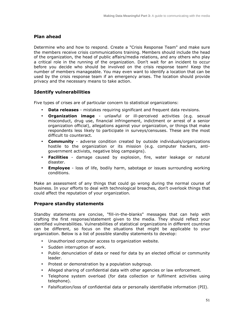## Plan ahead

Determine who and how to respond. Create a "Crisis Response Team" and make sure the members receive crisis communications training. Members should include the head of the organization, the head of public affairs/media relations, and any others who play a critical role in the running of the organization. Don't wait for an incident to occur before you decide who should be involved on the crisis response team! Keep the number of members manageable. You may even want to identify a location that can be used by the crisis response team if an emergency arises. The location should provide privacy and the necessary means to take action.

## Identify vulnerabilities

Five types of crises are of particular concern to statistical organizations:

- **Data releases** mistakes requiring significant and frequent data revisions.
- Organization image unlawful or ill-perceived activities (e.g. sexual misconduct, drug use, financial infringement, indictment or arrest of a senior organization official), allegations against your organization, or things that make respondents less likely to participate in surveys/censuses. These are the most difficult to counteract.
- **Community** adverse condition created by outside individuals/organizations hostile to the organization or its mission (e.g. computer hackers, antigovernment activists, negative blog campaigns).
- **Facilities** damage caused by explosion, fire, water leakage or natural disaster.
- **Employee** loss of life, bodily harm, sabotage or issues surrounding working conditions.

Make an assessment of any things that could go wrong during the normal course of business. In your efforts to deal with technological breaches, don't overlook things that could affect the reputation of your organization.

## Prepare standby statements

Standby statements are concise, "fill-in-the-blanks" messages that can help with crafting the first response/statement given to the media. They should reflect your identified vulnerabilities. Vulnerabilities of statistical organizations in different countries can be different, so focus on the situations that might be applicable to your organization. Below is a list of possible standby statements to develop:

- Unauthorized computer access to organization website.
- Sudden interruption of work.
- Public denunciation of data or need for data by an elected official or community leader.
- Protest or demonstration by a population subgroup.
- Alleged sharing of confidential data with other agencies or law enforcement.
- Telephone system overload (for data collection or fulfilment activities using telephone).
- Falsification/loss of confidential data or personally identifiable information (PII).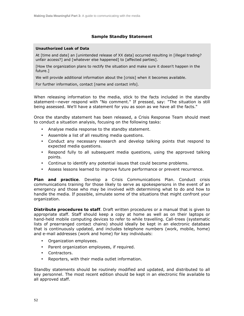### Sample Standby Statement

#### Unauthorized Leak of Data

At [time and date] an [unintended release of XX data] occurred resulting in [illegal trading? unfair access?] and [whatever else happened] to [affected parties].

[How the organization plans to rectify the situation and make sure it doesn't happen in the future.]

We will provide additional information about the [crisis] when it becomes available.

For further information, contact [name and contact info].

When releasing information to the media, stick to the facts included in the standby statement—never respond with "No comment." If pressed, say: "The situation is still being assessed. We'll have a statement for you as soon as we have all the facts."

Once the standby statement has been released, a Crisis Response Team should meet to conduct a situation analysis, focusing on the following tasks:

- Analyse media response to the standby statement.
- Assemble a list of all resulting media questions.
- Conduct any necessary research and develop talking points that respond to expected media questions.
- Respond fully to all subsequent media questions, using the approved talking points.
- Continue to identify any potential issues that could become problems.
- Assess lessons learned to improve future performance or prevent recurrence.

Plan and practice. Develop a Crisis Communications Plan. Conduct crisis communications training for those likely to serve as spokespersons in the event of an emergency and those who may be involved with determining what to do and how to handle the media. If possible, simulate some of the situations that might confront your organization.

**Distribute procedures to staff.** Draft written procedures or a manual that is given to appropriate staff. Staff should keep a copy at home as well as on their laptops or hand-held mobile computing devices to refer to while travelling. Call-trees (systematic lists of prearranged contact chains) should ideally be kept in an electronic database that is continuously updated, and includes telephone numbers (work, mobile, home) and e-mail addresses (work and home) for key individuals:

- Organization employees.
- Parent organization employees, if required.
- Contractors.
- Reporters, with their media outlet information.

Standby statements should be routinely modified and updated, and distributed to all key personnel. The most recent edition should be kept in an electronic file available to all approved staff.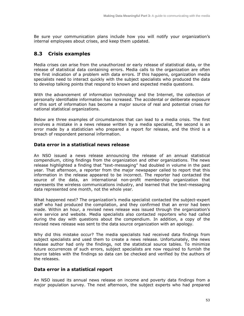Be sure your communication plans include how you will notify your organization's internal employees about crises, and keep them updated.

## 8.3 Crisis examples

Media crises can arise from the unauthorized or early release of statistical data, or the release of statistical data containing errors. Media calls to the organization are often the first indication of a problem with data errors. If this happens, organization media specialists need to interact quickly with the subject specialists who produced the data to develop talking points that respond to known and expected media questions.

With the advancement of information technology and the Internet, the collection of personally identifiable information has increased. The accidental or deliberate exposure of this sort of information has become a major source of real and potential crises for national statistical organizations.

Below are three examples of circumstances that can lead to a media crisis. The first involves a mistake in a news release written by a media specialist, the second is an error made by a statistician who prepared a report for release, and the third is a breach of respondent personal information.

## Data error in a statistical news release

An NSO issued a news release announcing the release of an annual statistical compendium, citing findings from the organization and other organizations. The news release highlighted a finding that "text-messaging" had doubled in volume in the past year. That afternoon, a reporter from the major newspaper called to report that this information in the release appeared to be incorrect. The reporter had contacted the source of the data, an international non-profit membership organization that represents the wireless communications industry, and learned that the text-messaging data represented one month, not the whole year.

What happened next? The organization's media specialist contacted the subject-expert staff who had produced the compilation, and they confirmed that an error had been made. Within an hour, a revised news release was issued through the organization's wire service and website. Media specialists also contacted reporters who had called during the day with questions about the compendium. In addition, a copy of the revised news release was sent to the data source organization with an apology.

Why did this mistake occur? The media specialists had received data findings from subject specialists and used them to create a news release. Unfortunately, the news release author had only the findings, not the statistical source tables. To minimize future occurrences of such errors, subject specialists are now required to furnish the source tables with the findings so data can be checked and verified by the authors of the releases.

## Data error in a statistical report

An NSO issued its annual news release on income and poverty data findings from a major population survey. The next afternoon, the subject experts who had prepared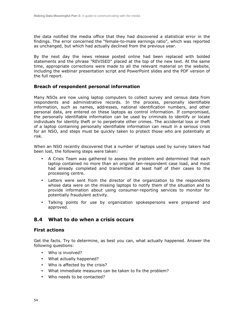the data notified the media office that they had discovered a statistical error in the findings. The error concerned the "female-to-male earnings ratio", which was reported as unchanged, but which had actually declined from the previous year.

By the next day the news release posted online had been replaced with bolded statements and the phrase "REVISED" placed at the top of the new text. At the same time, appropriate corrections were made to all the relevant material on the website, including the webinar presentation script and PowerPoint slides and the PDF version of the full report.

## Breach of respondent personal information

Many NSOs are now using laptop computers to collect survey and census data from respondents and administrative records. In the process, personally identifiable information, such as names, addresses, national identification numbers, and other personal data, are entered on these laptops as control information. If compromised, the personally identifiable information can be used by criminals to identify or locate individuals for identity theft or to perpetrate other crimes. The accidental loss or theft of a laptop containing personally identifiable information can result in a serious crisis for an NSO, and steps must be quickly taken to protect those who are potentially at risk.

When an NSO recently discovered that a number of laptops used by survey takers had been lost, the following steps were taken:

- A Crisis Team was gathered to assess the problem and determined that each laptop contained no more than an original ten-respondent case load, and most had already completed and transmitted at least half of their cases to the processing centre.
- Letters were sent from the director of the organization to the respondents whose data were on the missing laptops to notify them of the situation and to provide information about using consumer-reporting services to monitor for potentially fraudulent activity.
- Talking points for use by organization spokespersons were prepared and approved.

## 8.4 What to do when a crisis occurs

## First actions

Get the facts. Try to determine, as best you can, what actually happened. Answer the following questions:

- Who is involved?
- What actually happened?
- Who is affected by the crisis?
- What immediate measures can be taken to fix the problem?
- Who needs to be contacted?